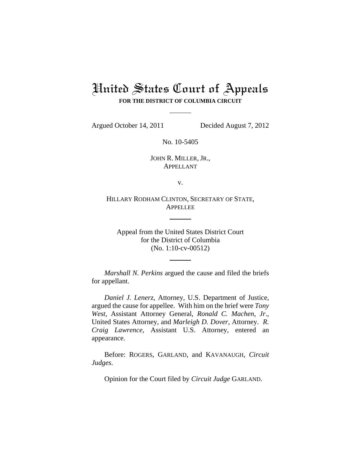# United States Court of Appeals **FOR THE DISTRICT OF COLUMBIA CIRCUIT**

Argued October 14, 2011 Decided August 7, 2012

No. 10-5405

JOHN R. MILLER, JR., APPELLANT

v.

HILLARY RODHAM CLINTON, SECRETARY OF STATE, APPELLEE

Appeal from the United States District Court for the District of Columbia (No. 1:10-cv-00512)

*Marshall N. Perkins* argued the cause and filed the briefs for appellant.

*Daniel J. Lenerz*, Attorney, U.S. Department of Justice, argued the cause for appellee. With him on the brief were *Tony West*, Assistant Attorney General, *Ronald C. Machen*, *Jr*., United States Attorney, and *Marleigh D. Dover*, Attorney. *R. Craig Lawrence*, Assistant U.S. Attorney, entered an appearance.

Before: ROGERS, GARLAND, and KAVANAUGH, *Circuit Judges*.

Opinion for the Court filed by *Circuit Judge* GARLAND.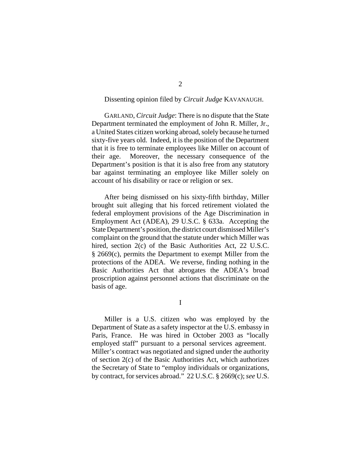### Dissenting opinion filed by *Circuit Judge* KAVANAUGH.

GARLAND, *Circuit Judge*: There is no dispute that the State Department terminated the employment of John R. Miller, Jr., a United States citizen working abroad, solely because he turned sixty-five years old. Indeed, it is the position of the Department that it is free to terminate employees like Miller on account of their age. Moreover, the necessary consequence of the Department's position is that it is also free from any statutory bar against terminating an employee like Miller solely on account of his disability or race or religion or sex.

After being dismissed on his sixty-fifth birthday, Miller brought suit alleging that his forced retirement violated the federal employment provisions of the Age Discrimination in Employment Act (ADEA), 29 U.S.C. § 633a. Accepting the State Department's position, the district court dismissed Miller's complaint on the ground that the statute under which Miller was hired, section 2(c) of the Basic Authorities Act, 22 U.S.C. § 2669(c), permits the Department to exempt Miller from the protections of the ADEA. We reverse, finding nothing in the Basic Authorities Act that abrogates the ADEA's broad proscription against personnel actions that discriminate on the basis of age.

I

Miller is a U.S. citizen who was employed by the Department of State as a safety inspector at the U.S. embassy in Paris, France. He was hired in October 2003 as "locally employed staff" pursuant to a personal services agreement. Miller's contract was negotiated and signed under the authority of section 2(c) of the Basic Authorities Act, which authorizes the Secretary of State to "employ individuals or organizations, by contract, for services abroad." 22 U.S.C. § 2669(c); *see* U.S.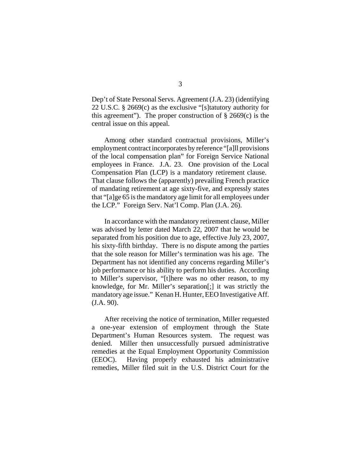Dep't of State Personal Servs. Agreement (J.A. 23) (identifying 22 U.S.C. § 2669(c) as the exclusive "[s]tatutory authority for this agreement"). The proper construction of  $\S$  2669(c) is the central issue on this appeal.

Among other standard contractual provisions, Miller's employment contract incorporates by reference "[a]ll provisions of the local compensation plan" for Foreign Service National employees in France. J.A. 23. One provision of the Local Compensation Plan (LCP) is a mandatory retirement clause. That clause follows the (apparently) prevailing French practice of mandating retirement at age sixty-five, and expressly states that "[a]ge 65 is the mandatory age limit for all employees under the LCP." Foreign Serv. Nat'l Comp. Plan (J.A. 26).

In accordance with the mandatory retirement clause, Miller was advised by letter dated March 22, 2007 that he would be separated from his position due to age, effective July 23, 2007, his sixty-fifth birthday. There is no dispute among the parties that the sole reason for Miller's termination was his age. The Department has not identified any concerns regarding Miller's job performance or his ability to perform his duties. According to Miller's supervisor, "[t]here was no other reason, to my knowledge, for Mr. Miller's separation[;] it was strictly the mandatory age issue." Kenan H. Hunter, EEO Investigative Aff. (J.A. 90).

After receiving the notice of termination, Miller requested a one-year extension of employment through the State Department's Human Resources system. The request was denied. Miller then unsuccessfully pursued administrative remedies at the Equal Employment Opportunity Commission (EEOC). Having properly exhausted his administrative remedies, Miller filed suit in the U.S. District Court for the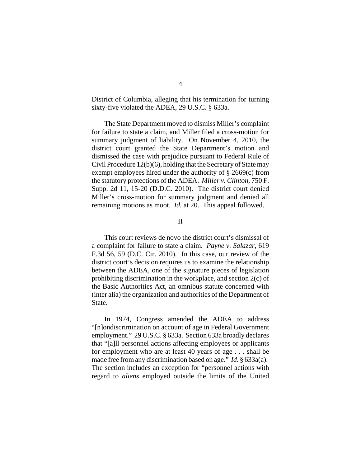District of Columbia, alleging that his termination for turning sixty-five violated the ADEA, 29 U.S.C. § 633a.

The State Department moved to dismiss Miller's complaint for failure to state a claim, and Miller filed a cross-motion for summary judgment of liability. On November 4, 2010, the district court granted the State Department's motion and dismissed the case with prejudice pursuant to Federal Rule of Civil Procedure 12(b)(6), holding that the Secretary of State may exempt employees hired under the authority of § 2669(c) from the statutory protections of the ADEA. *Miller v. Clinton*, 750 F. Supp. 2d 11, 15-20 (D.D.C. 2010). The district court denied Miller's cross-motion for summary judgment and denied all remaining motions as moot. *Id.* at 20. This appeal followed.

#### II

This court reviews de novo the district court's dismissal of a complaint for failure to state a claim. *Payne v. Salazar*, 619 F.3d 56, 59 (D.C. Cir. 2010). In this case, our review of the district court's decision requires us to examine the relationship between the ADEA, one of the signature pieces of legislation prohibiting discrimination in the workplace, and section 2(c) of the Basic Authorities Act, an omnibus statute concerned with (inter alia) the organization and authorities of the Department of State.

In 1974, Congress amended the ADEA to address "[n]ondiscrimination on account of age in Federal Government employment." 29 U.S.C. § 633a. Section 633a broadly declares that "[a]ll personnel actions affecting employees or applicants for employment who are at least 40 years of age . . . shall be made free from any discrimination based on age." *Id.* § 633a(a). The section includes an exception for "personnel actions with regard to *aliens* employed outside the limits of the United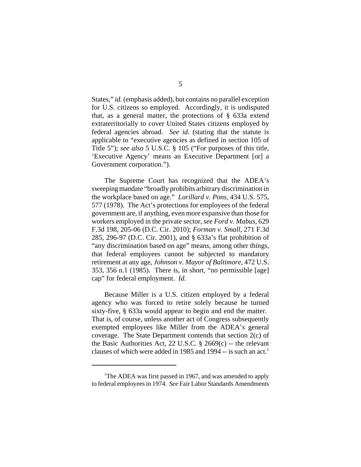States," *id.* (emphasis added), but contains no parallel exception for U.S. citizens so employed. Accordingly, it is undisputed that, as a general matter, the protections of § 633a extend extraterritorially to cover United States citizens employed by federal agencies abroad. *See id.* (stating that the statute is applicable to "executive agencies as defined in section 105 of Title 5"); *see also* 5 U.S.C. § 105 ("For purposes of this title, 'Executive Agency' means an Executive Department [or] a Government corporation.").

The Supreme Court has recognized that the ADEA's sweeping mandate "broadly prohibits arbitrary discrimination in the workplace based on age." *Lorillard v. Pons*, 434 U.S. 575, 577 (1978). The Act's protections for employees of the federal government are, if anything, even more expansive than those for workers employed in the private sector, *see Ford v. Mabus*, 629 F.3d 198, 205-06 (D.C. Cir. 2010); *Forman v. Small*, 271 F.3d 285, 296-97 (D.C. Cir. 2001), and § 633a's flat prohibition of "any discrimination based on age" means, among other things, that federal employees cannot be subjected to mandatory retirement at any age, *Johnson v. Mayor of Baltimore*, 472 U.S. 353, 356 n.1 (1985). There is, in short, "no permissible [age] cap" for federal employment. *Id.*

Because Miller is a U.S. citizen employed by a federal agency who was forced to retire solely because he turned sixty-five, § 633a would appear to begin and end the matter. That is, of course, unless another act of Congress subsequently exempted employees like Miller from the ADEA's general coverage. The State Department contends that section 2(c) of the Basic Authorities Act, 22 U.S.C.  $\S$  2669(c) -- the relevant clauses of which were added in 1985 and 1994  $-$  is such an act.<sup>1</sup>

<sup>&</sup>lt;sup>1</sup>The ADEA was first passed in 1967, and was amended to apply to federal employees in 1974. *See* Fair Labor Standards Amendments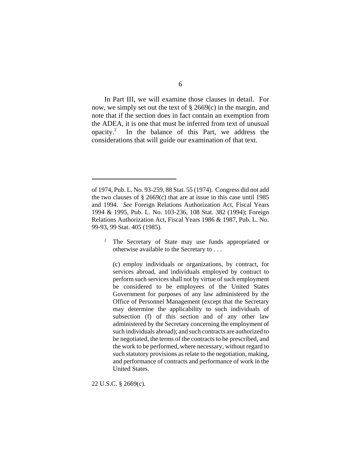In Part III, we will examine those clauses in detail. For now, we simply set out the text of § 2669(c) in the margin, and note that if the section does in fact contain an exemption from the ADEA, it is one that must be inferred from text of unusual opacity.2 In the balance of this Part, we address the considerations that will guide our examination of that text.

<sup>2</sup> The Secretary of State may use funds appropriated or otherwise available to the Secretary to . . .

(c) employ individuals or organizations, by contract, for services abroad, and individuals employed by contract to perform such services shall not by virtue of such employment be considered to be employees of the United States Government for purposes of any law administered by the Office of Personnel Management (except that the Secretary may determine the applicability to such individuals of subsection (f) of this section and of any other law administered by the Secretary concerning the employment of such individuals abroad); and such contracts are authorized to be negotiated, the terms of the contracts to be prescribed, and the work to be performed, where necessary, without regard to such statutory provisions as relate to the negotiation, making, and performance of contracts and performance of work in the United States.

22 U.S.C. § 2669(c).

of 1974, Pub. L. No. 93-259, 88 Stat. 55 (1974). Congress did not add the two clauses of  $\S 2669(c)$  that are at issue in this case until 1985 and 1994. *See* Foreign Relations Authorization Act, Fiscal Years 1994 & 1995, Pub. L. No. 103-236, 108 Stat. 382 (1994); Foreign Relations Authorization Act, Fiscal Years 1986 & 1987, Pub. L. No. 99-93, 99 Stat. 405 (1985).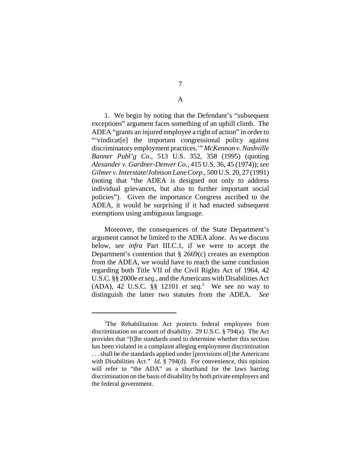## A

1. We begin by noting that the Defendant's "subsequent exceptions" argument faces something of an uphill climb. The ADEA "grants an injured employee a right of action" in order to "'vindicat[e] the important congressional policy against discriminatory employment practices.'" *McKennon v. Nashville Banner Publ'g Co.*, 513 U.S. 352, 358 (1995) (quoting *Alexander v. Gardner-Denver Co.*, 415 U.S. 36, 45 (1974)); *see Gilmer v. Interstate/Johnson Lane Corp.*, 500 U.S. 20, 27 (1991) (noting that "the ADEA is designed not only to address individual grievances, but also to further important social policies"). Given the importance Congress ascribed to the ADEA, it would be surprising if it had enacted subsequent exemptions using ambiguous language.

Moreover, the consequences of the State Department's argument cannot be limited to the ADEA alone. As we discuss below, *see infra* Part III.C.1, if we were to accept the Department's contention that § 2669(c) creates an exemption from the ADEA, we would have to reach the same conclusion regarding both Title VII of the Civil Rights Act of 1964, 42 U.S.C. §§ 2000e *et seq.*, and the Americans with Disabilities Act (ADA), 42 U.S.C. §§ 12101 *et seq.*<sup>3</sup> We see no way to distinguish the latter two statutes from the ADEA. *See*

<sup>&</sup>lt;sup>3</sup>The Rehabilitation Act protects federal employees from discrimination on account of disability. 29 U.S.C. § 794(a). The Act provides that "[t]he standards used to determine whether this section has been violated in a complaint alleging employment discrimination . . . shall be the standards applied under [provisions of] the Americans with Disabilities Act." *Id.* § 794(d). For convenience, this opinion will refer to "the ADA" as a shorthand for the laws barring discrimination on the basis of disability by both private employers and the federal government.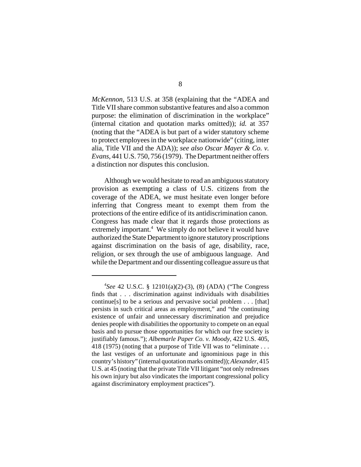*McKennon*, 513 U.S. at 358 (explaining that the "ADEA and Title VII share common substantive features and also a common purpose: the elimination of discrimination in the workplace" (internal citation and quotation marks omitted)); *id.* at 357 (noting that the "ADEA is but part of a wider statutory scheme to protect employees in the workplace nationwide" (citing, inter alia, Title VII and the ADA)); *see also Oscar Mayer & Co. v. Evans*, 441 U.S. 750, 756 (1979). The Department neither offers a distinction nor disputes this conclusion.

Although we would hesitate to read an ambiguous statutory provision as exempting a class of U.S. citizens from the coverage of the ADEA, we must hesitate even longer before inferring that Congress meant to exempt them from the protections of the entire edifice of its antidiscrimination canon. Congress has made clear that it regards those protections as extremely important.<sup>4</sup> We simply do not believe it would have authorized the State Department to ignore statutory proscriptions against discrimination on the basis of age, disability, race, religion, or sex through the use of ambiguous language. And while the Department and our dissenting colleague assure us that

<sup>4</sup> *See* 42 U.S.C. § 12101(a)(2)-(3), (8) (ADA) ("The Congress finds that . . . discrimination against individuals with disabilities continue[s] to be a serious and pervasive social problem . . . [that] persists in such critical areas as employment," and "the continuing existence of unfair and unnecessary discrimination and prejudice denies people with disabilities the opportunity to compete on an equal basis and to pursue those opportunities for which our free society is justifiably famous."); *Albemarle Paper Co. v. Moody*, 422 U.S. 405, 418 (1975) (noting that a purpose of Title VII was to "eliminate . . . the last vestiges of an unfortunate and ignominious page in this country's history" (internal quotation marks omitted)); *Alexander*, 415 U.S. at 45 (noting that the private Title VII litigant "not only redresses his own injury but also vindicates the important congressional policy against discriminatory employment practices").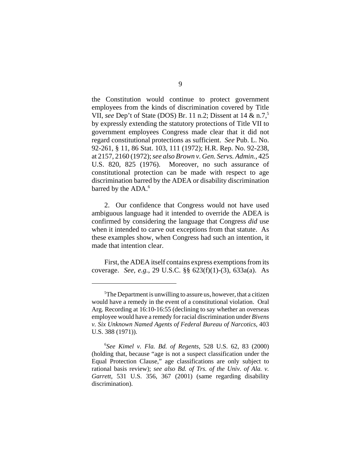the Constitution would continue to protect government employees from the kinds of discrimination covered by Title VII, *see* Dep't of State (DOS) Br. 11 n.2; Dissent at 14 & n.7,5 by expressly extending the statutory protections of Title VII to government employees Congress made clear that it did not regard constitutional protections as sufficient. *See* Pub. L. No. 92-261, § 11, 86 Stat. 103, 111 (1972); H.R. Rep. No. 92-238, at 2157, 2160 (1972); *see also Brown v. Gen. Servs. Admin.*, 425 U.S. 820, 825 (1976). Moreover, no such assurance of constitutional protection can be made with respect to age discrimination barred by the ADEA or disability discrimination barred by the ADA.<sup>6</sup>

2. Our confidence that Congress would not have used ambiguous language had it intended to override the ADEA is confirmed by considering the language that Congress *did* use when it intended to carve out exceptions from that statute. As these examples show, when Congress had such an intention, it made that intention clear.

First, the ADEA itself contains express exemptions from its coverage. *See, e.g.*, 29 U.S.C. §§ 623(f)(1)-(3), 633a(a). As

<sup>&</sup>lt;sup>5</sup>The Department is unwilling to assure us, however, that a citizen would have a remedy in the event of a constitutional violation. Oral Arg. Recording at 16:10-16:55 (declining to say whether an overseas employee would have a remedy for racial discrimination under *Bivens v. Six Unknown Named Agents of Federal Bureau of Narcotics*, 403 U.S. 388 (1971)).

<sup>6</sup> *See Kimel v. Fla. Bd. of Regents*, 528 U.S. 62, 83 (2000) (holding that, because "age is not a suspect classification under the Equal Protection Clause," age classifications are only subject to rational basis review); *see also Bd. of Trs. of the Univ. of Ala. v. Garrett*, 531 U.S. 356, 367 (2001) (same regarding disability discrimination).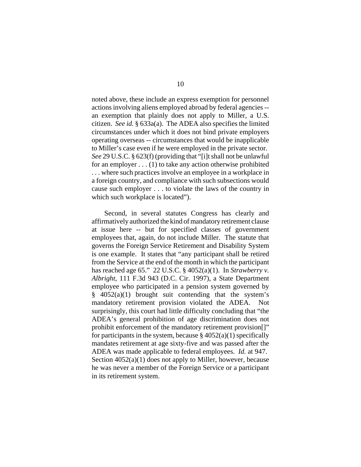noted above, these include an express exemption for personnel actions involving aliens employed abroad by federal agencies - an exemption that plainly does not apply to Miller, a U.S. citizen. *See id.* § 633a(a). The ADEA also specifies the limited circumstances under which it does not bind private employers operating overseas -- circumstances that would be inapplicable to Miller's case even if he were employed in the private sector. *See* 29 U.S.C. § 623(f) (providing that "[i]t shall not be unlawful for an employer . . . (1) to take any action otherwise prohibited . . . where such practices involve an employee in a workplace in a foreign country, and compliance with such subsections would cause such employer . . . to violate the laws of the country in which such workplace is located").

Second, in several statutes Congress has clearly and affirmatively authorized the kind of mandatory retirement clause at issue here -- but for specified classes of government employees that, again, do not include Miller. The statute that governs the Foreign Service Retirement and Disability System is one example. It states that "any participant shall be retired from the Service at the end of the month in which the participant has reached age 65." 22 U.S.C. § 4052(a)(1). In *Strawberry v. Albright*, 111 F.3d 943 (D.C. Cir. 1997), a State Department employee who participated in a pension system governed by  $\frac{8}{9}$  4052(a)(1) brought suit contending that the system's mandatory retirement provision violated the ADEA. Not surprisingly, this court had little difficulty concluding that "the ADEA's general prohibition of age discrimination does not prohibit enforcement of the mandatory retirement provision[]" for participants in the system, because  $\S 4052(a)(1)$  specifically mandates retirement at age sixty-five and was passed after the ADEA was made applicable to federal employees. *Id.* at 947. Section  $4052(a)(1)$  does not apply to Miller, however, because he was never a member of the Foreign Service or a participant in its retirement system.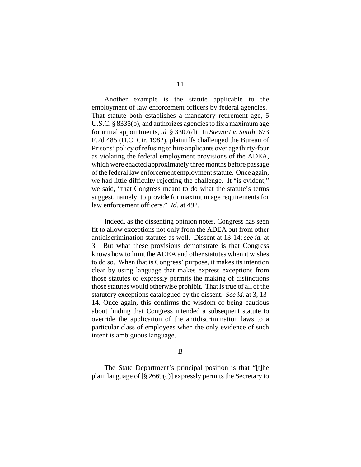Another example is the statute applicable to the employment of law enforcement officers by federal agencies. That statute both establishes a mandatory retirement age, 5 U.S.C. § 8335(b), and authorizes agencies to fix a maximum age for initial appointments, *id.* § 3307(d). In *Stewart v. Smith*, 673 F.2d 485 (D.C. Cir. 1982), plaintiffs challenged the Bureau of Prisons' policy of refusing to hire applicants over age thirty-four as violating the federal employment provisions of the ADEA, which were enacted approximately three months before passage of the federal law enforcement employment statute. Once again, we had little difficulty rejecting the challenge. It "is evident," we said, "that Congress meant to do what the statute's terms suggest, namely, to provide for maximum age requirements for law enforcement officers." *Id.* at 492.

Indeed, as the dissenting opinion notes, Congress has seen fit to allow exceptions not only from the ADEA but from other antidiscrimination statutes as well. Dissent at 13-14; *see id.* at 3. But what these provisions demonstrate is that Congress knows how to limit the ADEA and other statutes when it wishes to do so. When that is Congress' purpose, it makes its intention clear by using language that makes express exceptions from those statutes or expressly permits the making of distinctions those statutes would otherwise prohibit. That is true of all of the statutory exceptions catalogued by the dissent. *See id.* at 3, 13- 14. Once again, this confirms the wisdom of being cautious about finding that Congress intended a subsequent statute to override the application of the antidiscrimination laws to a particular class of employees when the only evidence of such intent is ambiguous language.

B

The State Department's principal position is that "[t]he plain language of  $\lceil \frac{8}{9} \cdot 2669(c) \rceil$  expressly permits the Secretary to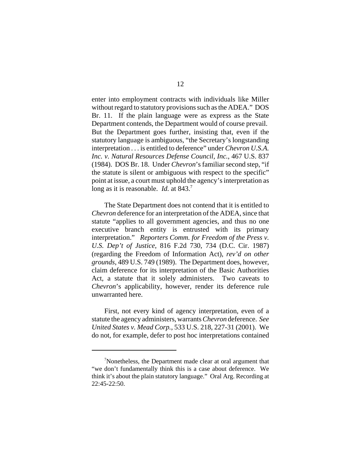enter into employment contracts with individuals like Miller without regard to statutory provisions such as the ADEA." DOS Br. 11. If the plain language were as express as the State Department contends, the Department would of course prevail. But the Department goes further, insisting that, even if the statutory language is ambiguous, "the Secretary's longstanding interpretation . . . is entitled to deference" under *Chevron U.S.A. Inc. v. Natural Resources Defense Council, Inc.*, 467 U.S. 837 (1984). DOS Br. 18. Under *Chevron*'s familiar second step, "if the statute is silent or ambiguous with respect to the specific" point at issue, a court must uphold the agency's interpretation as long as it is reasonable. *Id.* at 843.<sup>7</sup>

The State Department does not contend that it is entitled to *Chevron* deference for an interpretation of the ADEA, since that statute "applies to all government agencies, and thus no one executive branch entity is entrusted with its primary interpretation." *Reporters Comm. for Freedom of the Press v. U.S. Dep't of Justice*, 816 F.2d 730, 734 (D.C. Cir. 1987) (regarding the Freedom of Information Act), *rev'd on other grounds*, 489 U.S. 749 (1989). The Department does, however, claim deference for its interpretation of the Basic Authorities Act, a statute that it solely administers. Two caveats to *Chevron*'s applicability, however, render its deference rule unwarranted here.

First, not every kind of agency interpretation, even of a statute the agency administers, warrants *Chevron* deference. *See United States v. Mead Corp.*, 533 U.S. 218, 227-31 (2001). We do not, for example, defer to post hoc interpretations contained

<sup>&</sup>lt;sup>7</sup>Nonetheless, the Department made clear at oral argument that "we don't fundamentally think this is a case about deference. We think it's about the plain statutory language." Oral Arg. Recording at 22:45-22:50.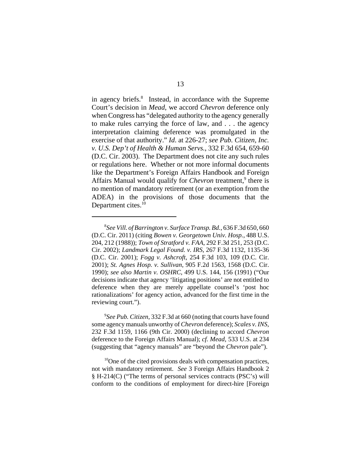in agency briefs.<sup>8</sup> Instead, in accordance with the Supreme Court's decision in *Mead*, we accord *Chevron* deference only when Congress has "delegated authority to the agency generally to make rules carrying the force of law, and . . . the agency interpretation claiming deference was promulgated in the exercise of that authority." *Id*. at 226-27; *see Pub. Citizen, Inc. v. U.S. Dep't of Health & Human Servs.*, 332 F.3d 654, 659-60 (D.C. Cir. 2003). The Department does not cite any such rules or regulations here. Whether or not more informal documents like the Department's Foreign Affairs Handbook and Foreign Affairs Manual would qualify for *Chevron* treatment,<sup>9</sup> there is no mention of mandatory retirement (or an exemption from the ADEA) in the provisions of those documents that the Department cites.<sup>10</sup>

9 *See Pub. Citizen*, 332 F.3d at 660 (noting that courts have found some agency manuals unworthy of *Chevron* deference); *Scales v. INS*, 232 F.3d 1159, 1166 (9th Cir. 2000) (declining to accord *Chevron* deference to the Foreign Affairs Manual); *cf. Mead*, 533 U.S. at 234 (suggesting that "agency manuals" are "beyond the *Chevron* pale").

<sup>10</sup>One of the cited provisions deals with compensation practices, not with mandatory retirement. *See* 3 Foreign Affairs Handbook 2 § H-214(C) ("The terms of personal services contracts (PSC's) will conform to the conditions of employment for direct-hire [Foreign

<sup>8</sup> *See Vill. of Barrington v. Surface Transp. Bd.*, 636 F.3d 650, 660 (D.C. Cir. 2011) (citing *Bowen v. Georgetown Univ. Hosp.*, 488 U.S. 204, 212 (1988)); *Town of Stratford v. FAA*, 292 F.3d 251, 253 (D.C. Cir. 2002); *Landmark Legal Found. v. IRS*, 267 F.3d 1132, 1135-36 (D.C. Cir. 2001); *Fogg v. Ashcroft*, 254 F.3d 103, 109 (D.C. Cir. 2001); *St. Agnes Hosp. v. Sullivan*, 905 F.2d 1563, 1568 (D.C. Cir. 1990); *see also Martin v. OSHRC*, 499 U.S. 144, 156 (1991) ("Our decisions indicate that agency 'litigating positions' are not entitled to deference when they are merely appellate counsel's 'post hoc rationalizations' for agency action, advanced for the first time in the reviewing court.").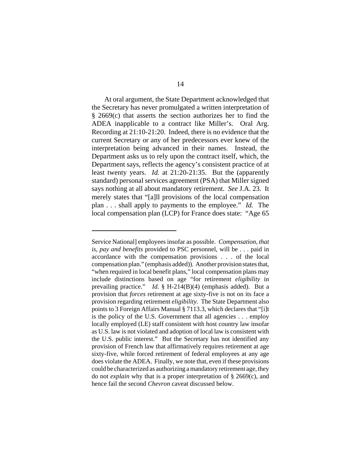At oral argument, the State Department acknowledged that the Secretary has never promulgated a written interpretation of § 2669(c) that asserts the section authorizes her to find the ADEA inapplicable to a contract like Miller's. Oral Arg. Recording at 21:10-21:20. Indeed, there is no evidence that the current Secretary or any of her predecessors ever knew of the interpretation being advanced in their names. Instead, the Department asks us to rely upon the contract itself, which, the Department says, reflects the agency's consistent practice of at least twenty years. *Id.* at 21:20-21:35. But the (apparently standard) personal services agreement (PSA) that Miller signed says nothing at all about mandatory retirement. *See* J.A. 23. It merely states that "[a]ll provisions of the local compensation plan . . . shall apply to payments to the employee." *Id.* The local compensation plan (LCP) for France does state: "Age 65

Service National] employees insofar as possible. *Compensation, that is, pay and benefits* provided to PSC personnel, will be . . . paid in accordance with the compensation provisions . . . of the local compensation plan." (emphasis added)). Another provision states that, "when required in local benefit plans," local compensation plans may include distinctions based on age "for retirement *eligibility* in prevailing practice." *Id.* § H-214(B)(4) (emphasis added). But a provision that *forces* retirement at age sixty-five is not on its face a provision regarding retirement *eligibility*. The State Department also points to 3 Foreign Affairs Manual § 7113.3, which declares that "[i]t is the policy of the U.S. Government that all agencies . . . employ locally employed (LE) staff consistent with host country law insofar as U.S. law is not violated and adoption of local law is consistent with the U.S. public interest." But the Secretary has not identified any provision of French law that affirmatively requires retirement at age sixty-five, while forced retirement of federal employees at any age does violate the ADEA. Finally, we note that, even if these provisions could be characterized as authorizing a mandatory retirement age, they do not *explain* why that is a proper interpretation of § 2669(c), and hence fail the second *Chevron* caveat discussed below.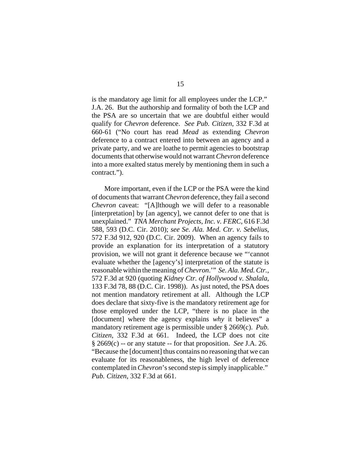is the mandatory age limit for all employees under the LCP." J.A. 26. But the authorship and formality of both the LCP and the PSA are so uncertain that we are doubtful either would qualify for *Chevron* deference. *See Pub. Citizen*, 332 F.3d at 660-61 ("No court has read *Mead* as extending *Chevron* deference to a contract entered into between an agency and a private party, and we are loathe to permit agencies to bootstrap documents that otherwise would not warrant *Chevron* deference into a more exalted status merely by mentioning them in such a contract.").

More important, even if the LCP or the PSA were the kind of documents that warrant *Chevron* deference, they fail a second *Chevron* caveat: "[A]lthough we will defer to a reasonable [interpretation] by [an agency], we cannot defer to one that is unexplained." *TNA Merchant Projects, Inc. v. FERC*, 616 F.3d 588, 593 (D.C. Cir. 2010); *see Se. Ala. Med. Ctr. v. Sebelius*, 572 F.3d 912, 920 (D.C. Cir. 2009). When an agency fails to provide an explanation for its interpretation of a statutory provision, we will not grant it deference because we "'cannot evaluate whether the [agency's] interpretation of the statute is reasonable within the meaning of *Chevron*.'" *Se. Ala. Med. Ctr.*, 572 F.3d at 920 (quoting *Kidney Ctr. of Hollywood v. Shalala*, 133 F.3d 78, 88 (D.C. Cir. 1998)). As just noted, the PSA does not mention mandatory retirement at all. Although the LCP does declare that sixty-five is the mandatory retirement age for those employed under the LCP, "there is no place in the [document] where the agency explains *why* it believes" a mandatory retirement age is permissible under § 2669(c). *Pub. Citizen*, 332 F.3d at 661. Indeed, the LCP does not cite § 2669(c) -- or any statute -- for that proposition. *See* J.A. 26. "Because the [document] thus contains no reasoning that we can evaluate for its reasonableness, the high level of deference contemplated in *Chevron*'s second step is simply inapplicable." *Pub. Citizen*, 332 F.3d at 661.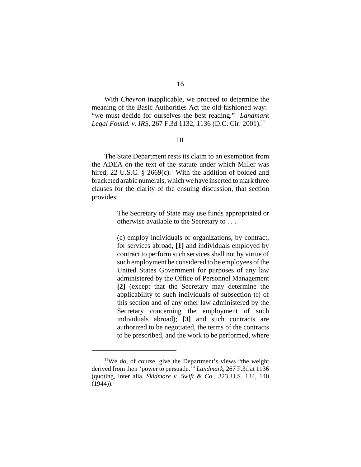With *Chevron* inapplicable, we proceed to determine the meaning of the Basic Authorities Act the old-fashioned way: "we must decide for ourselves the best reading." *Landmark Legal Found. v. IRS, 267 F.3d 1132, 1136 (D.C. Cir. 2001).*<sup>11</sup>

### III

The State Department rests its claim to an exemption from the ADEA on the text of the statute under which Miller was hired, 22 U.S.C. § 2669(c). With the addition of bolded and bracketed arabic numerals, which we have inserted to mark three clauses for the clarity of the ensuing discussion, that section provides:

> The Secretary of State may use funds appropriated or otherwise available to the Secretary to . . .

> (c) employ individuals or organizations, by contract, for services abroad, **[1]** and individuals employed by contract to perform such services shall not by virtue of such employment be considered to be employees of the United States Government for purposes of any law administered by the Office of Personnel Management **[2]** (except that the Secretary may determine the applicability to such individuals of subsection (f) of this section and of any other law administered by the Secretary concerning the employment of such individuals abroad); **[3]** and such contracts are authorized to be negotiated, the terms of the contracts to be prescribed, and the work to be performed, where

<sup>&</sup>lt;sup>11</sup>We do, of course, give the Department's views "the weight derived from their 'power to persuade.'" *Landmark*, 267 F.3d at 1136 (quoting, inter alia, *Skidmore v. Swift & Co.*, 323 U.S. 134, 140  $(1944)$ ).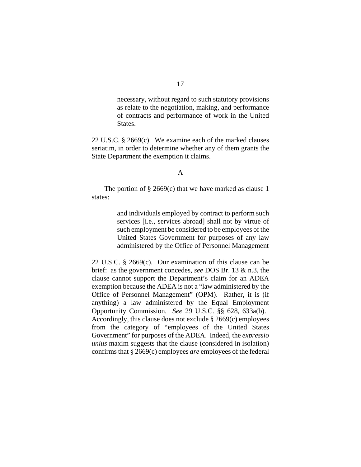necessary, without regard to such statutory provisions as relate to the negotiation, making, and performance of contracts and performance of work in the United States.

22 U.S.C. § 2669(c). We examine each of the marked clauses seriatim, in order to determine whether any of them grants the State Department the exemption it claims.

#### A

The portion of  $\S 2669(c)$  that we have marked as clause 1 states:

> and individuals employed by contract to perform such services *[i.e., services abroad]* shall not by virtue of such employment be considered to be employees of the United States Government for purposes of any law administered by the Office of Personnel Management

22 U.S.C. § 2669(c). Our examination of this clause can be brief: as the government concedes, *see* DOS Br. 13 & n.3, the clause cannot support the Department's claim for an ADEA exemption because the ADEA is not a "law administered by the Office of Personnel Management" (OPM). Rather, it is (if anything) a law administered by the Equal Employment Opportunity Commission. *See* 29 U.S.C. §§ 628, 633a(b). Accordingly, this clause does not exclude § 2669(c) employees from the category of "employees of the United States Government" for purposes of the ADEA. Indeed, the *expressio unius* maxim suggests that the clause (considered in isolation) confirms that § 2669(c) employees *are* employees of the federal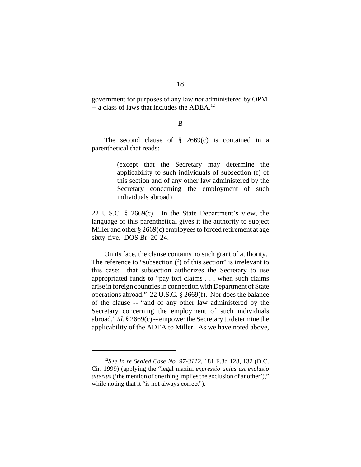government for purposes of any law *not* administered by OPM -- a class of laws that includes the ADEA.<sup>12</sup>

### B

The second clause of  $\S$  2669(c) is contained in a parenthetical that reads:

> (except that the Secretary may determine the applicability to such individuals of subsection (f) of this section and of any other law administered by the Secretary concerning the employment of such individuals abroad)

22 U.S.C. § 2669(c). In the State Department's view, the language of this parenthetical gives it the authority to subject Miller and other § 2669(c) employees to forced retirement at age sixty-five. DOS Br. 20-24.

On its face, the clause contains no such grant of authority. The reference to "subsection (f) of this section" is irrelevant to this case: that subsection authorizes the Secretary to use appropriated funds to "pay tort claims . . . when such claims arise in foreign countries in connection with Department of State operations abroad." 22 U.S.C. § 2669(f). Nor does the balance of the clause -- "and of any other law administered by the Secretary concerning the employment of such individuals abroad," *id.* § 2669(c) -- empower the Secretary to determine the applicability of the ADEA to Miller. As we have noted above,

<sup>12</sup>*See In re Sealed Case No. 97-3112*, 181 F.3d 128, 132 (D.C. Cir. 1999) (applying the "legal maxim *expressio unius est exclusio alterius* ('the mention of one thing implies the exclusion of another')," while noting that it "is not always correct").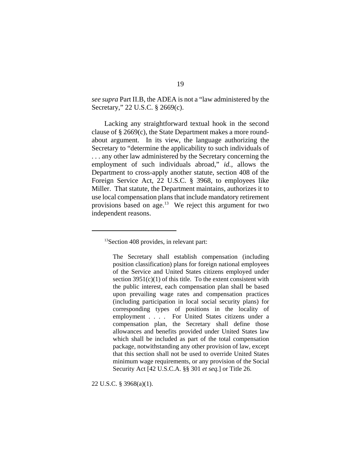*see supra* Part II.B, the ADEA is not a "law administered by the Secretary," 22 U.S.C. § 2669(c).

Lacking any straightforward textual hook in the second clause of § 2669(c), the State Department makes a more roundabout argument. In its view, the language authorizing the Secretary to "determine the applicability to such individuals of . . . any other law administered by the Secretary concerning the employment of such individuals abroad," *id.*, allows the Department to cross-apply another statute, section 408 of the Foreign Service Act, 22 U.S.C. § 3968, to employees like Miller. That statute, the Department maintains, authorizes it to use local compensation plans that include mandatory retirement provisions based on age.<sup>13</sup> We reject this argument for two independent reasons.

22 U.S.C. § 3968(a)(1).

<sup>&</sup>lt;sup>13</sup>Section 408 provides, in relevant part:

The Secretary shall establish compensation (including position classification) plans for foreign national employees of the Service and United States citizens employed under section  $3951(c)(1)$  of this title. To the extent consistent with the public interest, each compensation plan shall be based upon prevailing wage rates and compensation practices (including participation in local social security plans) for corresponding types of positions in the locality of employment . . . . For United States citizens under a compensation plan, the Secretary shall define those allowances and benefits provided under United States law which shall be included as part of the total compensation package, notwithstanding any other provision of law, except that this section shall not be used to override United States minimum wage requirements, or any provision of the Social Security Act [42 U.S.C.A. §§ 301 *et seq.*] or Title 26.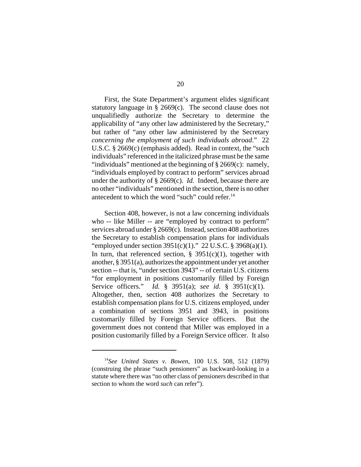First, the State Department's argument elides significant statutory language in  $\S$  2669(c). The second clause does not unqualifiedly authorize the Secretary to determine the applicability of "any other law administered by the Secretary," but rather of "any other law administered by the Secretary *concerning the employment of such individuals abroad*." 22 U.S.C. § 2669(c) (emphasis added). Read in context, the "such individuals" referenced in the italicized phrase must be the same "individuals" mentioned at the beginning of § 2669(c): namely, "individuals employed by contract to perform" services abroad under the authority of § 2669(c). *Id.* Indeed, because there are no other "individuals" mentioned in the section, there is no other antecedent to which the word "such" could refer.<sup>14</sup>

Section 408, however, is not a law concerning individuals who -- like Miller -- are "employed by contract to perform" services abroad under § 2669(c). Instead, section 408 authorizes the Secretary to establish compensation plans for individuals "employed under section  $3951(c)(1)$ ." 22 U.S.C. § 3968(a)(1). In turn, that referenced section,  $\S$  3951(c)(1), together with another, § 3951(a), authorizes the appointment under yet another section -- that is, "under section 3943" -- of certain U.S. citizens "for employment in positions customarily filled by Foreign Service officers." *Id.* § 3951(a); *see id.* § 3951(c)(1). Altogether, then, section 408 authorizes the Secretary to establish compensation plans for U.S. citizens employed, under a combination of sections 3951 and 3943, in positions customarily filled by Foreign Service officers. But the government does not contend that Miller was employed in a position customarily filled by a Foreign Service officer. It also

<sup>14</sup>*See United States v. Bowen*, 100 U.S. 508, 512 (1879) (construing the phrase "such pensioners" as backward-looking in a statute where there was "no other class of pensioners described in that section to whom the word *such* can refer").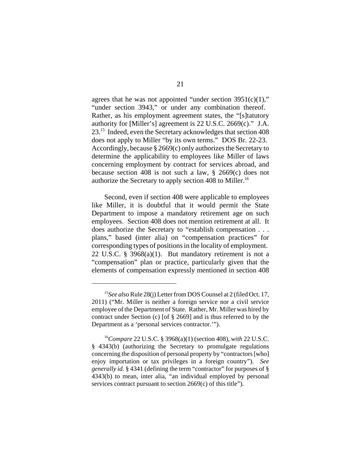agrees that he was not appointed "under section  $3951(c)(1)$ ," "under section 3943," or under any combination thereof. Rather, as his employment agreement states, the "[s]tatutory authority for [Miller's] agreement is 22 U.S.C. 2669(c)." J.A. 23.15 Indeed, even the Secretary acknowledges that section 408 does not apply to Miller "by its own terms." DOS Br. 22-23. Accordingly, because § 2669(c) only authorizes the Secretary to determine the applicability to employees like Miller of laws concerning employment by contract for services abroad, and because section 408 is not such a law, § 2669(c) does not authorize the Secretary to apply section 408 to Miller.<sup>16</sup>

Second, even if section 408 were applicable to employees like Miller, it is doubtful that it would permit the State Department to impose a mandatory retirement age on such employees. Section 408 does not mention retirement at all. It does authorize the Secretary to "establish compensation . . . plans," based (inter alia) on "compensation practices" for corresponding types of positions in the locality of employment. 22 U.S.C. § 3968(a)(1). But mandatory retirement is not a "compensation" plan or practice, particularly given that the elements of compensation expressly mentioned in section 408

<sup>15</sup>*See also* Rule 28(j) Letter from DOS Counsel at 2 (filed Oct. 17, 2011) ("Mr. Miller is neither a foreign service nor a civil service employee of the Department of State. Rather, Mr. Miller was hired by contract under Section (c) [of § 2669] and is thus referred to by the Department as a 'personal services contractor.'").

<sup>16</sup>*Compare* 22 U.S.C. § 3968(a)(1) (section 408), *with* 22 U.S.C. § 4343(b) (authorizing the Secretary to promulgate regulations concerning the disposition of personal property by "contractors [who] enjoy importation or tax privileges in a foreign country"). *See generally id.* § 4341 (defining the term "contractor" for purposes of § 4343(b) to mean, inter alia, "an individual employed by personal services contract pursuant to section 2669(c) of this title").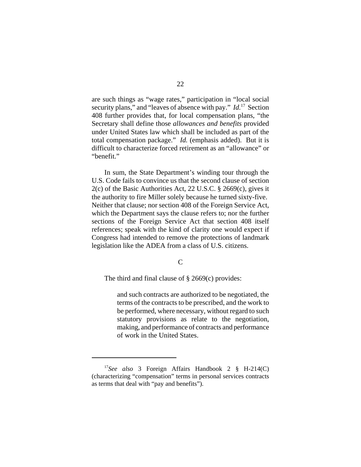are such things as "wage rates," participation in "local social security plans," and "leaves of absence with pay." *Id.*17 Section 408 further provides that, for local compensation plans, "the Secretary shall define those *allowances and benefits* provided under United States law which shall be included as part of the total compensation package." *Id.* (emphasis added). But it is difficult to characterize forced retirement as an "allowance" or "benefit."

In sum, the State Department's winding tour through the U.S. Code fails to convince us that the second clause of section 2(c) of the Basic Authorities Act, 22 U.S.C. § 2669(c), gives it the authority to fire Miller solely because he turned sixty-five. Neither that clause; nor section 408 of the Foreign Service Act, which the Department says the clause refers to; nor the further sections of the Foreign Service Act that section 408 itself references; speak with the kind of clarity one would expect if Congress had intended to remove the protections of landmark legislation like the ADEA from a class of U.S. citizens.

C

The third and final clause of  $\S 2669(c)$  provides:

and such contracts are authorized to be negotiated, the terms of the contracts to be prescribed, and the work to be performed, where necessary, without regard to such statutory provisions as relate to the negotiation, making, and performance of contracts and performance of work in the United States.

<sup>17</sup>*See also* 3 Foreign Affairs Handbook 2 § H-214(C) (characterizing "compensation" terms in personal services contracts as terms that deal with "pay and benefits").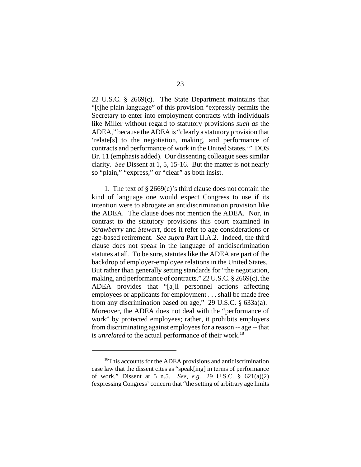22 U.S.C. § 2669(c). The State Department maintains that "[t]he plain language" of this provision "expressly permits the Secretary to enter into employment contracts with individuals like Miller without regard to statutory provisions *such as* the ADEA," because the ADEA is "clearly a statutory provision that 'relate[s] to the negotiation, making, and performance of contracts and performance of work in the United States.'" DOS Br. 11 (emphasis added). Our dissenting colleague sees similar clarity. *See* Dissent at 1, 5, 15-16. But the matter is not nearly so "plain," "express," or "clear" as both insist.

1. The text of § 2669(c)'s third clause does not contain the kind of language one would expect Congress to use if its intention were to abrogate an antidiscrimination provision like the ADEA. The clause does not mention the ADEA. Nor, in contrast to the statutory provisions this court examined in *Strawberry* and *Stewart*, does it refer to age considerations or age-based retirement. *See supra* Part II.A.2. Indeed, the third clause does not speak in the language of antidiscrimination statutes at all. To be sure, statutes like the ADEA are part of the backdrop of employer-employee relations in the United States. But rather than generally setting standards for "the negotiation, making, and performance of contracts," 22 U.S.C. § 2669(c), the ADEA provides that "[a]ll personnel actions affecting employees or applicants for employment . . . shall be made free from any discrimination based on age," 29 U.S.C. § 633a(a). Moreover, the ADEA does not deal with the "performance of work" by protected employees; rather, it prohibits employers from discriminating against employees for a reason -- age -- that is *unrelated* to the actual performance of their work.<sup>18</sup>

<sup>&</sup>lt;sup>18</sup>This accounts for the ADEA provisions and antidiscrimination case law that the dissent cites as "speak[ing] in terms of performance of work," Dissent at 5 n.5. *See, e.g.*, 29 U.S.C. § 621(a)(2) (expressing Congress' concern that "the setting of arbitrary age limits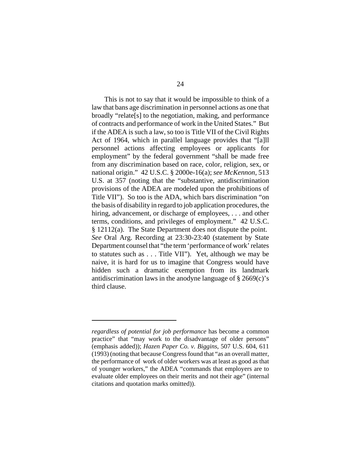This is not to say that it would be impossible to think of a law that bans age discrimination in personnel actions as one that broadly "relate[s] to the negotiation, making, and performance of contracts and performance of work in the United States." But if the ADEA is such a law, so too is Title VII of the Civil Rights Act of 1964, which in parallel language provides that "[a]ll personnel actions affecting employees or applicants for employment" by the federal government "shall be made free from any discrimination based on race, color, religion, sex, or national origin." 42 U.S.C. § 2000e-16(a); *see McKennon*, 513 U.S. at 357 (noting that the "substantive, antidiscrimination provisions of the ADEA are modeled upon the prohibitions of Title VII"). So too is the ADA, which bars discrimination "on the basis of disability in regard to job application procedures, the hiring, advancement, or discharge of employees, . . . and other terms, conditions, and privileges of employment." 42 U.S.C. § 12112(a). The State Department does not dispute the point. *See* Oral Arg. Recording at 23:30-23:40 (statement by State Department counsel that "the term 'performance of work' relates to statutes such as . . . Title VII"). Yet, although we may be naive, it is hard for us to imagine that Congress would have hidden such a dramatic exemption from its landmark antidiscrimination laws in the anodyne language of § 2669(c)'s third clause.

*regardless of potential for job performance* has become a common practice" that "may work to the disadvantage of older persons" (emphasis added)); *Hazen Paper Co. v. Biggins*, 507 U.S. 604, 611 (1993) (noting that because Congress found that "as an overall matter, the performance of work of older workers was at least as good as that of younger workers," the ADEA "commands that employers are to evaluate older employees on their merits and not their age" (internal citations and quotation marks omitted)).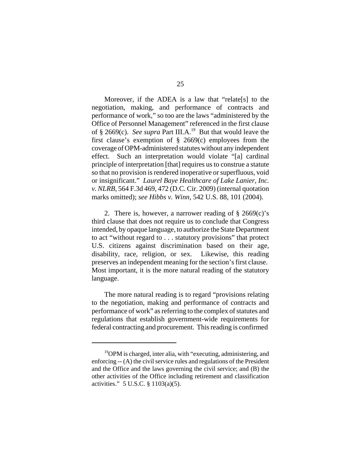Moreover, if the ADEA is a law that "relate[s] to the negotiation, making, and performance of contracts and performance of work," so too are the laws "administered by the Office of Personnel Management" referenced in the first clause of § 2669(c). *See supra* Part III.A.19 But that would leave the first clause's exemption of  $\S$  2669(c) employees from the coverage of OPM-administered statutes without any independent effect. Such an interpretation would violate "[a] cardinal principle of interpretation [that] requires us to construe a statute so that no provision is rendered inoperative or superfluous, void or insignificant." *Laurel Baye Healthcare of Lake Lanier, Inc. v. NLRB*, 564 F.3d 469, 472 (D.C. Cir. 2009) (internal quotation marks omitted); *see Hibbs v. Winn*, 542 U.S. 88, 101 (2004).

2. There is, however, a narrower reading of § 2669(c)'s third clause that does not require us to conclude that Congress intended, by opaque language, to authorize the State Department to act "without regard to . . . statutory provisions" that protect U.S. citizens against discrimination based on their age, disability, race, religion, or sex. Likewise, this reading preserves an independent meaning for the section's first clause. Most important, it is the more natural reading of the statutory language.

The more natural reading is to regard "provisions relating to the negotiation, making and performance of contracts and performance of work" as referring to the complex of statutes and regulations that establish government-wide requirements for federal contracting and procurement. This reading is confirmed

<sup>19</sup>OPM is charged, inter alia, with "executing, administering, and enforcing -- (A) the civil service rules and regulations of the President and the Office and the laws governing the civil service; and (B) the other activities of the Office including retirement and classification activities." 5 U.S.C. § 1103(a)(5).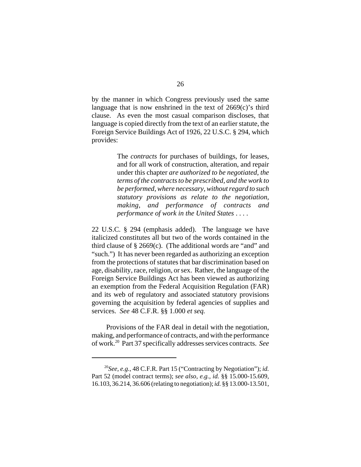by the manner in which Congress previously used the same language that is now enshrined in the text of  $2669(c)$ 's third clause. As even the most casual comparison discloses, that language is copied directly from the text of an earlier statute, the Foreign Service Buildings Act of 1926, 22 U.S.C. § 294, which provides:

> The *contracts* for purchases of buildings, for leases, and for all work of construction, alteration, and repair under this chapter *are authorized to be negotiated, the terms of the contracts to be prescribed, and the work to be performed, where necessary, without regard to such statutory provisions as relate to the negotiation, making, and performance of contracts and performance of work in the United States* . . . .

22 U.S.C. § 294 (emphasis added). The language we have italicized constitutes all but two of the words contained in the third clause of  $\S 2669(c)$ . (The additional words are "and" and "such.") It has never been regarded as authorizing an exception from the protections of statutes that bar discrimination based on age, disability, race, religion, or sex. Rather, the language of the Foreign Service Buildings Act has been viewed as authorizing an exemption from the Federal Acquisition Regulation (FAR) and its web of regulatory and associated statutory provisions governing the acquisition by federal agencies of supplies and services. *See* 48 C.F.R. §§ 1.000 *et seq.*

 Provisions of the FAR deal in detail with the negotiation, making, and performance of contracts, and with the performance of work.20 Part 37 specifically addresses services contracts. *See*

<sup>20</sup>*See, e.g.*, 48 C.F.R. Part 15 ("Contracting by Negotiation"); *id.* Part 52 (model contract terms); *see also, e.g.*, *id.* §§ 15.000-15.609, 16.103, 36.214, 36.606 (relating to negotiation); *id.* §§ 13.000-13.501,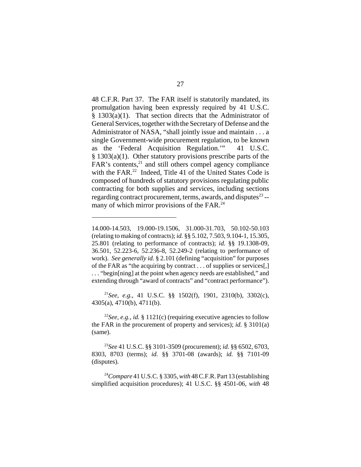48 C.F.R. Part 37. The FAR itself is statutorily mandated, its promulgation having been expressly required by 41 U.S.C. § 1303(a)(1). That section directs that the Administrator of General Services, together with the Secretary of Defense and the Administrator of NASA, "shall jointly issue and maintain . . . a single Government-wide procurement regulation, to be known as the 'Federal Acquisition Regulation.'" 41 U.S.C. § 1303(a)(1). Other statutory provisions prescribe parts of the  $FAR's$  contents, $^{21}$  and still others compel agency compliance with the FAR.<sup>22</sup> Indeed, Title 41 of the United States Code is composed of hundreds of statutory provisions regulating public contracting for both supplies and services, including sections regarding contract procurement, terms, awards, and disputes $^{23}$  -many of which mirror provisions of the FAR.<sup>24</sup>

<sup>21</sup>*See, e.g.*, 41 U.S.C. §§ 1502(f), 1901, 2310(b), 3302(c), 4305(a), 4710(b), 4711(b).

<sup>22</sup>*See, e.g., id.* § 1121(c) (requiring executive agencies to follow the FAR in the procurement of property and services); *id.* § 3101(a) (same).

<sup>23</sup>*See* 41 U.S.C. §§ 3101-3509 (procurement); *id.* §§ 6502, 6703, 8303, 8703 (terms); *id.* §§ 3701-08 (awards); *id.* §§ 7101-09 (disputes).

<sup>24</sup>*Compare* 41 U.S.C. § 3305, *with* 48 C.F.R. Part 13 (establishing simplified acquisition procedures); 41 U.S.C. §§ 4501-06, *with* 48

<sup>14.000-14.503, 19.000-19.1506, 31.000-31.703, 50.102-50.103</sup> (relating to making of contracts); *id.* §§ 5.102, 7.503, 9.104-1, 15.305, 25.801 (relating to performance of contracts); *id.* §§ 19.1308-09, 36.501, 52.223-6, 52.236-8, 52.249-2 (relating to performance of work). *See generally id.* § 2.101 (defining "acquisition" for purposes of the FAR as "the acquiring by contract . . . of supplies or services[,] . . . "begin[ning] at the point when agency needs are established," and extending through "award of contracts" and "contract performance").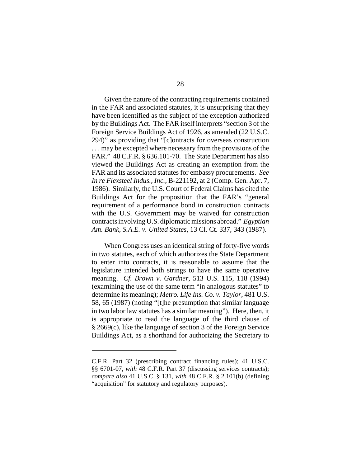Given the nature of the contracting requirements contained in the FAR and associated statutes, it is unsurprising that they have been identified as the subject of the exception authorized by the Buildings Act. The FAR itself interprets "section 3 of the Foreign Service Buildings Act of 1926, as amended (22 U.S.C. 294)" as providing that "[c]ontracts for overseas construction . . . may be excepted where necessary from the provisions of the FAR." 48 C.F.R. § 636.101-70. The State Department has also viewed the Buildings Act as creating an exemption from the FAR and its associated statutes for embassy procurements. *See In re Flexsteel Indus., Inc.*, B-221192, at 2 (Comp. Gen. Apr. 7, 1986). Similarly, the U.S. Court of Federal Claims has cited the Buildings Act for the proposition that the FAR's "general requirement of a performance bond in construction contracts with the U.S. Government may be waived for construction contracts involving U.S. diplomatic missions abroad." *Egyptian Am. Bank, S.A.E. v. United States*, 13 Cl. Ct. 337, 343 (1987).

When Congress uses an identical string of forty-five words in two statutes, each of which authorizes the State Department to enter into contracts, it is reasonable to assume that the legislature intended both strings to have the same operative meaning. *Cf. Brown v. Gardner*, 513 U.S. 115, 118 (1994) (examining the use of the same term "in analogous statutes" to determine its meaning); *Metro. Life Ins. Co. v. Taylor*, 481 U.S. 58, 65 (1987) (noting "[t]he presumption that similar language in two labor law statutes has a similar meaning"). Here, then, it is appropriate to read the language of the third clause of § 2669(c), like the language of section 3 of the Foreign Service Buildings Act, as a shorthand for authorizing the Secretary to

C.F.R. Part 32 (prescribing contract financing rules); 41 U.S.C. §§ 6701-07, *with* 48 C.F.R. Part 37 (discussing services contracts); *compare also* 41 U.S.C. § 131, *with* 48 C.F.R. § 2.101(b) (defining "acquisition" for statutory and regulatory purposes).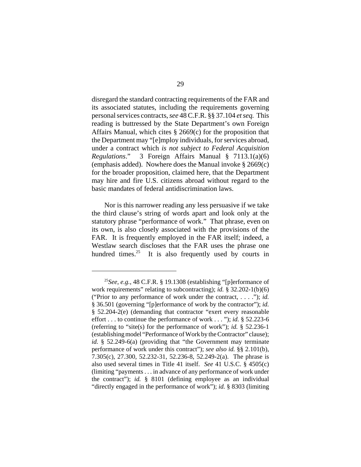disregard the standard contracting requirements of the FAR and its associated statutes, including the requirements governing personal services contracts, *see* 48 C.F.R. §§ 37.104 *et seq.* This reading is buttressed by the State Department's own Foreign Affairs Manual, which cites § 2669(c) for the proposition that the Department may "[e]mploy individuals, for services abroad, under a contract which *is not subject to Federal Acquisition Regulations*." 3 Foreign Affairs Manual § 7113.1(a)(6) (emphasis added). Nowhere does the Manual invoke  $\S 2669(c)$ ) for the broader proposition, claimed here, that the Department may hire and fire U.S. citizens abroad without regard to the basic mandates of federal antidiscrimination laws.

Nor is this narrower reading any less persuasive if we take the third clause's string of words apart and look only at the statutory phrase "performance of work." That phrase, even on its own, is also closely associated with the provisions of the FAR. It is frequently employed in the FAR itself; indeed, a Westlaw search discloses that the FAR uses the phrase one hundred times.<sup>25</sup> It is also frequently used by courts in

<sup>25</sup>*See, e.g.*, 48 C.F.R. § 19.1308 (establishing "[p]erformance of work requirements" relating to subcontracting); *id.* § 32.202-1(b)(6) ("Prior to any performance of work under the contract, . . . ."); *id.* § 36.501 (governing "[p]erformance of work by the contractor"); *id.* § 52.204-2(e) (demanding that contractor "exert every reasonable effort . . . to continue the performance of work . . . "); *id.* § 52.223-6 (referring to "site(s) for the performance of work"); *id.* § 52.236-1 (establishing model "Performance of Work by the Contractor" clause); *id.* § 52.249-6(a) (providing that "the Government may terminate performance of work under this contract"); *see also id.* §§ 2.101(b), 7.305(c), 27.300, 52.232-31, 52.236-8, 52.249-2(a). The phrase is also used several times in Title 41 itself. *See* 41 U.S.C. § 4505(c) (limiting "payments . . . in advance of any performance of work under the contract"); *id.* § 8101 (defining employee as an individual "directly engaged in the performance of work"); *id.* § 8303 (limiting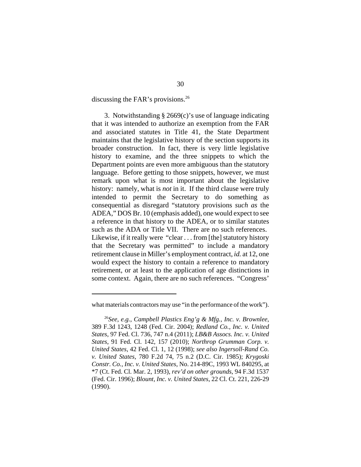discussing the FAR's provisions.<sup>26</sup>

3. Notwithstanding § 2669(c)'s use of language indicating that it was intended to authorize an exemption from the FAR and associated statutes in Title 41, the State Department maintains that the legislative history of the section supports its broader construction. In fact, there is very little legislative history to examine, and the three snippets to which the Department points are even more ambiguous than the statutory language. Before getting to those snippets, however, we must remark upon what is most important about the legislative history: namely, what is *not* in it. If the third clause were truly intended to permit the Secretary to do something as consequential as disregard "statutory provisions *such as* the ADEA," DOS Br. 10 (emphasis added), one would expect to see a reference in that history to the ADEA, or to similar statutes such as the ADA or Title VII. There are no such references. Likewise, if it really were "clear . . . from [the] statutory history that the Secretary was permitted" to include a mandatory retirement clause in Miller's employment contract, *id.* at 12, one would expect the history to contain a reference to mandatory retirement, or at least to the application of age distinctions in some context. Again, there are no such references. "Congress'

what materials contractors may use "in the performance of the work").

<sup>26</sup>*See, e.g.*, *Campbell Plastics Eng'g & Mfg., Inc. v. Brownlee*, 389 F.3d 1243, 1248 (Fed. Cir. 2004); *Redland Co., Inc. v. United States*, 97 Fed. Cl. 736, 747 n.4 (2011); *LB&B Assocs. Inc. v. United States*, 91 Fed. Cl. 142, 157 (2010); *Northrop Grumman Corp. v. United States*, 42 Fed. Cl. 1, 12 (1998); *see also Ingersoll-Rand Co. v. United States*, 780 F.2d 74, 75 n.2 (D.C. Cir. 1985); *Krygoski Constr. Co., Inc. v. United States*, No. 214-89C, 1993 WL 840295, at \*7 (Ct. Fed. Cl. Mar. 2, 1993), *rev'd on other grounds*, 94 F.3d 1537 (Fed. Cir. 1996); *Blount, Inc. v. United States*, 22 Cl. Ct. 221, 226-29 (1990).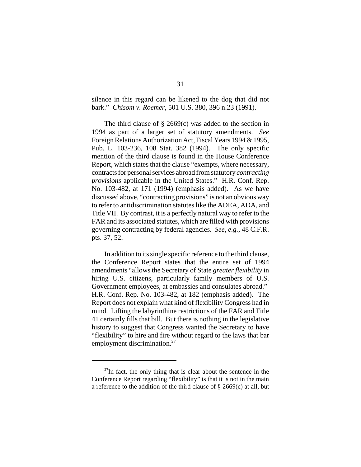silence in this regard can be likened to the dog that did not bark." *Chisom v. Roemer*, 501 U.S. 380, 396 n.23 (1991).

The third clause of  $\S$  2669(c) was added to the section in 1994 as part of a larger set of statutory amendments. *See* Foreign Relations Authorization Act, Fiscal Years 1994 & 1995, Pub. L. 103-236, 108 Stat. 382 (1994). The only specific mention of the third clause is found in the House Conference Report, which states that the clause "exempts, where necessary, contracts for personal services abroad from statutory *contracting provisions* applicable in the United States." H.R. Conf. Rep. No. 103-482, at 171 (1994) (emphasis added). As we have discussed above, "contracting provisions" is not an obvious way to refer to antidiscrimination statutes like the ADEA, ADA, and Title VII. By contrast, it is a perfectly natural way to refer to the FAR and its associated statutes, which are filled with provisions governing contracting by federal agencies. *See, e.g.*, 48 C.F.R. pts. 37, 52.

In addition to its single specific reference to the third clause, the Conference Report states that the entire set of 1994 amendments "allows the Secretary of State *greater flexibility* in hiring U.S. citizens, particularly family members of U.S. Government employees, at embassies and consulates abroad." H.R. Conf. Rep. No. 103-482, at 182 (emphasis added). The Report does not explain what kind of flexibility Congress had in mind. Lifting the labyrinthine restrictions of the FAR and Title 41 certainly fills that bill. But there is nothing in the legislative history to suggest that Congress wanted the Secretary to have "flexibility" to hire and fire without regard to the laws that bar employment discrimination.<sup>27</sup>

 $^{27}$ In fact, the only thing that is clear about the sentence in the Conference Report regarding "flexibility" is that it is not in the main a reference to the addition of the third clause of  $\S$  2669(c) at all, but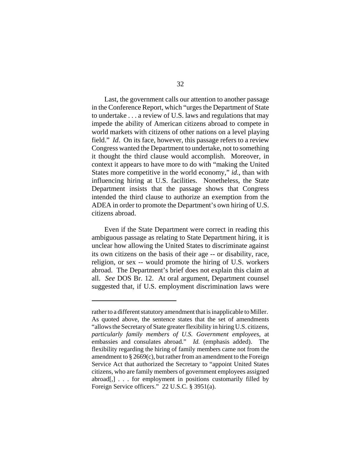Last, the government calls our attention to another passage in the Conference Report, which "urges the Department of State to undertake . . . a review of U.S. laws and regulations that may impede the ability of American citizens abroad to compete in world markets with citizens of other nations on a level playing field." *Id*. On its face, however, this passage refers to a review Congress wanted the Department to undertake, not to something it thought the third clause would accomplish. Moreover, in context it appears to have more to do with "making the United States more competitive in the world economy," *id.*, than with influencing hiring at U.S. facilities. Nonetheless, the State Department insists that the passage shows that Congress intended the third clause to authorize an exemption from the ADEA in order to promote the Department's own hiring of U.S. citizens abroad.

Even if the State Department were correct in reading this ambiguous passage as relating to State Department hiring, it is unclear how allowing the United States to discriminate against its own citizens on the basis of their age -- or disability, race, religion, or sex -- would promote the hiring of U.S. workers abroad. The Department's brief does not explain this claim at all. *See* DOS Br. 12. At oral argument, Department counsel suggested that, if U.S. employment discrimination laws were

rather to a different statutory amendment that is inapplicable to Miller. As quoted above, the sentence states that the set of amendments "allows the Secretary of State greater flexibility in hiring U.S. citizens, *particularly family members of U.S. Government employees*, at embassies and consulates abroad." *Id.* (emphasis added). The flexibility regarding the hiring of family members came not from the amendment to  $\S 2669(c)$ , but rather from an amendment to the Foreign Service Act that authorized the Secretary to "appoint United States citizens, who are family members of government employees assigned abroad[,] . . . for employment in positions customarily filled by Foreign Service officers." 22 U.S.C. § 3951(a).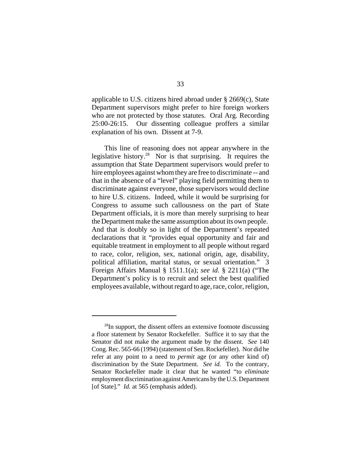applicable to U.S. citizens hired abroad under § 2669(c), State Department supervisors might prefer to hire foreign workers who are not protected by those statutes. Oral Arg. Recording 25:00-26:15. Our dissenting colleague proffers a similar explanation of his own. Dissent at 7-9.

This line of reasoning does not appear anywhere in the legislative history.28 Nor is that surprising. It requires the assumption that State Department supervisors would prefer to hire employees against whom they are free to discriminate -- and that in the absence of a "level" playing field permitting them to discriminate against everyone, those supervisors would decline to hire U.S. citizens. Indeed, while it would be surprising for Congress to assume such callousness on the part of State Department officials, it is more than merely surprising to hear the Department make the same assumption about its own people. And that is doubly so in light of the Department's repeated declarations that it "provides equal opportunity and fair and equitable treatment in employment to all people without regard to race, color, religion, sex, national origin, age, disability, political affiliation, marital status, or sexual orientation." 3 Foreign Affairs Manual § 1511.1(a); *see id.* § 2211(a) ("The Department's policy is to recruit and select the best qualified employees available, without regard to age, race, color, religion,

 $^{28}$ In support, the dissent offers an extensive footnote discussing a floor statement by Senator Rockefeller. Suffice it to say that the Senator did not make the argument made by the dissent. *See* 140 Cong. Rec. 565-66 (1994) (statement of Sen. Rockefeller). Nor did he refer at any point to a need to *permit* age (or any other kind of) discrimination by the State Department. *See id.* To the contrary, Senator Rockefeller made it clear that he wanted "to *eliminate* employment discrimination against Americans by the U.S. Department [of State]." *Id.* at 565 (emphasis added).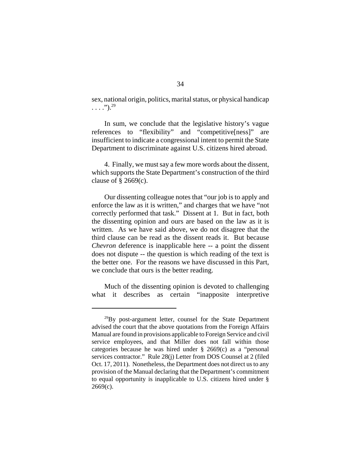sex, national origin, politics, marital status, or physical handicap  $\ldots$ ").<sup>29</sup>

In sum, we conclude that the legislative history's vague references to "flexibility" and "competitive[ness]" are insufficient to indicate a congressional intent to permit the State Department to discriminate against U.S. citizens hired abroad.

4. Finally, we must say a few more words about the dissent, which supports the State Department's construction of the third clause of  $\S$  2669(c).

Our dissenting colleague notes that "our job is to apply and enforce the law as it is written," and charges that we have "not correctly performed that task." Dissent at 1. But in fact, both the dissenting opinion and ours are based on the law as it is written. As we have said above, we do not disagree that the third clause can be read as the dissent reads it. But because *Chevron* deference is inapplicable here -- a point the dissent does not dispute -- the question is which reading of the text is the better one. For the reasons we have discussed in this Part, we conclude that ours is the better reading.

Much of the dissenting opinion is devoted to challenging what it describes as certain "inapposite interpretive

 $^{29}$ By post-argument letter, counsel for the State Department advised the court that the above quotations from the Foreign Affairs Manual are found in provisions applicable to Foreign Service and civil service employees, and that Miller does not fall within those categories because he was hired under § 2669(c) as a "personal services contractor." Rule 28(j) Letter from DOS Counsel at 2 (filed Oct. 17, 2011). Nonetheless, the Department does not direct us to any provision of the Manual declaring that the Department's commitment to equal opportunity is inapplicable to U.S. citizens hired under §  $2669(c)$ .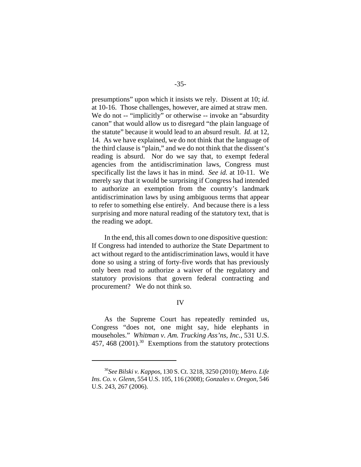presumptions" upon which it insists we rely. Dissent at 10; *id.* at 10-16. Those challenges, however, are aimed at straw men. We do not -- "implicitly" or otherwise -- invoke an "absurdity" canon" that would allow us to disregard "the plain language of the statute" because it would lead to an absurd result. *Id.* at 12, 14. As we have explained, we do not think that the language of the third clause is "plain," and we do not think that the dissent's reading is absurd. Nor do we say that, to exempt federal agencies from the antidiscrimination laws, Congress must specifically list the laws it has in mind. *See id.* at 10-11. We merely say that it would be surprising if Congress had intended to authorize an exemption from the country's landmark antidiscrimination laws by using ambiguous terms that appear to refer to something else entirely. And because there is a less surprising and more natural reading of the statutory text, that is the reading we adopt.

In the end, this all comes down to one dispositive question: If Congress had intended to authorize the State Department to act without regard to the antidiscrimination laws, would it have done so using a string of forty-five words that has previously only been read to authorize a waiver of the regulatory and statutory provisions that govern federal contracting and procurement? We do not think so.

## IV

As the Supreme Court has repeatedly reminded us, Congress "does not, one might say, hide elephants in mouseholes." *Whitman v. Am. Trucking Ass'ns, Inc.*, 531 U.S. 457, 468 (2001).<sup>30</sup> Exemptions from the statutory protections

<sup>30</sup>*See Bilski v. Kappos*, 130 S. Ct. 3218, 3250 (2010); *Metro. Life Ins. Co. v. Glenn*, 554 U.S. 105, 116 (2008); *Gonzales v. Oregon*, 546 U.S. 243, 267 (2006).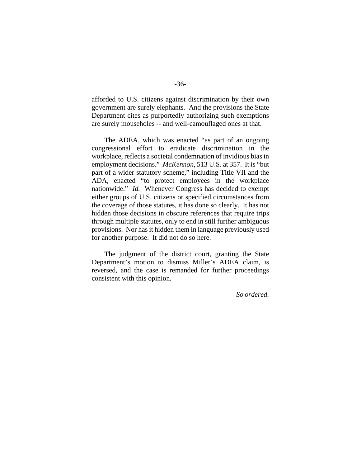afforded to U.S. citizens against discrimination by their own government are surely elephants. And the provisions the State Department cites as purportedly authorizing such exemptions are surely mouseholes -- and well-camouflaged ones at that.

The ADEA, which was enacted "as part of an ongoing congressional effort to eradicate discrimination in the workplace, reflects a societal condemnation of invidious bias in employment decisions." *McKennon*, 513 U.S. at 357. It is "but part of a wider statutory scheme," including Title VII and the ADA, enacted "to protect employees in the workplace nationwide." *Id.* Whenever Congress has decided to exempt either groups of U.S. citizens or specified circumstances from the coverage of those statutes, it has done so clearly. It has not hidden those decisions in obscure references that require trips through multiple statutes, only to end in still further ambiguous provisions. Nor has it hidden them in language previously used for another purpose. It did not do so here.

The judgment of the district court, granting the State Department's motion to dismiss Miller's ADEA claim, is reversed, and the case is remanded for further proceedings consistent with this opinion.

 *So ordered.*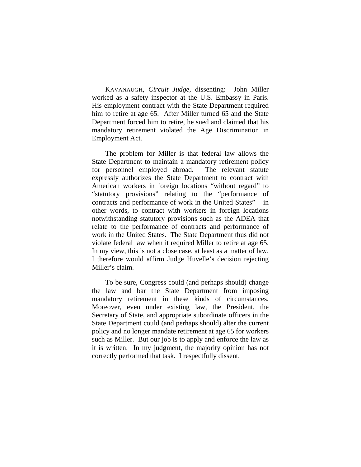KAVANAUGH, *Circuit Judge*, dissenting: John Miller worked as a safety inspector at the U.S. Embassy in Paris. His employment contract with the State Department required him to retire at age 65. After Miller turned 65 and the State Department forced him to retire, he sued and claimed that his mandatory retirement violated the Age Discrimination in Employment Act.

The problem for Miller is that federal law allows the State Department to maintain a mandatory retirement policy for personnel employed abroad. The relevant statute expressly authorizes the State Department to contract with American workers in foreign locations "without regard" to "statutory provisions" relating to the "performance of contracts and performance of work in the United States" – in other words, to contract with workers in foreign locations notwithstanding statutory provisions such as the ADEA that relate to the performance of contracts and performance of work in the United States. The State Department thus did not violate federal law when it required Miller to retire at age 65. In my view, this is not a close case, at least as a matter of law. I therefore would affirm Judge Huvelle's decision rejecting Miller's claim.

To be sure, Congress could (and perhaps should) change the law and bar the State Department from imposing mandatory retirement in these kinds of circumstances. Moreover, even under existing law, the President, the Secretary of State, and appropriate subordinate officers in the State Department could (and perhaps should) alter the current policy and no longer mandate retirement at age 65 for workers such as Miller. But our job is to apply and enforce the law as it is written. In my judgment, the majority opinion has not correctly performed that task. I respectfully dissent.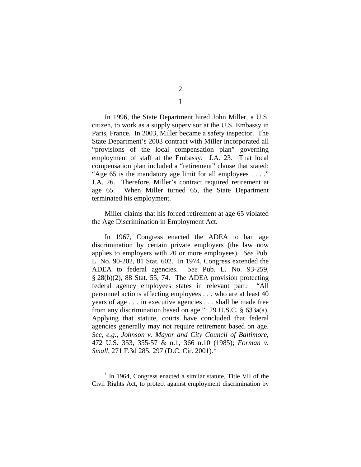In 1996, the State Department hired John Miller, a U.S. citizen, to work as a supply supervisor at the U.S. Embassy in Paris, France. In 2003, Miller became a safety inspector. The State Department's 2003 contract with Miller incorporated all "provisions of the local compensation plan" governing employment of staff at the Embassy. J.A. 23. That local compensation plan included a "retirement" clause that stated: "Age 65 is the mandatory age limit for all employees . . . ." J.A. 26. Therefore, Miller's contract required retirement at age 65. When Miller turned 65, the State Department terminated his employment.

Miller claims that his forced retirement at age 65 violated the Age Discrimination in Employment Act.

In 1967, Congress enacted the ADEA to ban age discrimination by certain private employers (the law now applies to employers with 20 or more employees). *See* Pub. L. No. 90-202, 81 Stat. 602. In 1974, Congress extended the ADEA to federal agencies. *See* Pub. L. No. 93-259, § 28(b)(2), 88 Stat. 55, 74. The ADEA provision protecting federal agency employees states in relevant part: "All personnel actions affecting employees . . . who are at least 40 years of age . . . in executive agencies . . . shall be made free from any discrimination based on age." 29 U.S.C. § 633a(a). Applying that statute, courts have concluded that federal agencies generally may not require retirement based on age. *See, e.g.*, *Johnson v. Mayor and City Council of Baltimore*, 472 U.S. 353, 355-57 & n.1, 366 n.10 (1985); *Forman v. Small*, 271 F.3d 285, 297 (D.C. Cir. 2001). [1](#page-37-0)

2 I

<span id="page-37-0"></span> $1$  In 1964, Congress enacted a similar statute, Title VII of the Civil Rights Act, to protect against employment discrimination by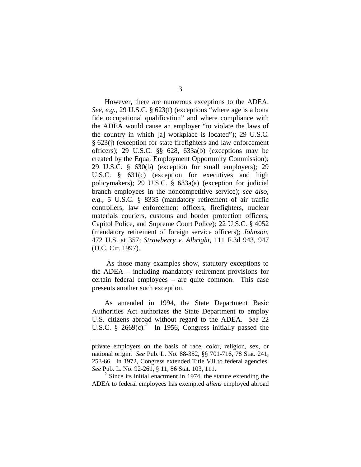However, there are numerous exceptions to the ADEA. *See, e.g.*, 29 U.S.C. § 623(f) (exceptions "where age is a bona fide occupational qualification" and where compliance with the ADEA would cause an employer "to violate the laws of the country in which [a] workplace is located"); 29 U.S.C. § 623(j) (exception for state firefighters and law enforcement officers); 29 U.S.C. §§ 628, 633a(b) (exceptions may be created by the Equal Employment Opportunity Commission); 29 U.S.C. § 630(b) (exception for small employers); 29 U.S.C. § 631(c) (exception for executives and high policymakers); 29 U.S.C. § 633a(a) (exception for judicial branch employees in the noncompetitive service); *see also, e.g.*, 5 U.S.C. § 8335 (mandatory retirement of air traffic controllers, law enforcement officers, firefighters, nuclear materials couriers, customs and border protection officers, Capitol Police, and Supreme Court Police); 22 U.S.C. § 4052 (mandatory retirement of foreign service officers); *Johnson*, 472 U.S. at 357; *Strawberry v. Albright*, 111 F.3d 943, 947 (D.C. Cir. 1997).

As those many examples show, statutory exceptions to the ADEA – including mandatory retirement provisions for certain federal employees – are quite common. This case presents another such exception.

As amended in 1994, the State Department Basic Authorities Act authorizes the State Department to employ U.S. citizens abroad without regard to the ADEA. *See* 22 U.S.C.  $\frac{8}{9}$  [2](#page-38-0)669(c).<sup>2</sup> In 1956, Congress initially passed the

 $\overline{a}$ 

<span id="page-38-0"></span> $2$  Since its initial enactment in 1974, the statute extending the ADEA to federal employees has exempted *aliens* employed abroad

private employers on the basis of race, color, religion, sex, or national origin. *See* Pub. L. No. 88-352, §§ 701-716, 78 Stat. 241, 253-66*.* In 1972, Congress extended Title VII to federal agencies. *See* Pub. L. No. 92-261, § 11, 86 Stat. 103, 111.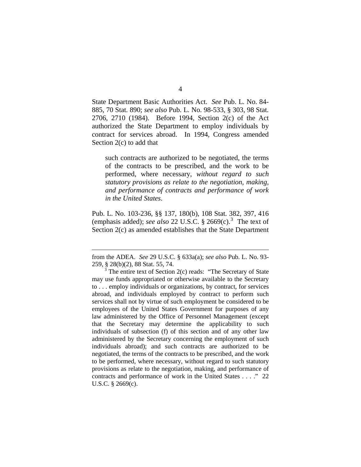State Department Basic Authorities Act. *See* Pub. L. No. 84- 885, 70 Stat. 890; *see also* Pub. L. No. 98-533, § 303, 98 Stat. 2706, 2710 (1984). Before 1994, Section 2(c) of the Act authorized the State Department to employ individuals by contract for services abroad. In 1994, Congress amended Section 2(c) to add that

such contracts are authorized to be negotiated, the terms of the contracts to be prescribed, and the work to be performed, where necessary, *without regard to such statutory provisions as relate to the negotiation, making, and performance of contracts and performance of work in the United States*.

Pub. L. No. 103-236, §§ 137, 180(b), 108 Stat. 382, 397, 416 (emphasis added); *see also* 22 U.S.C. § 2669(c).[3](#page-39-0) The text of Section 2(c) as amended establishes that the State Department

 $\overline{a}$ 

from the ADEA. *See* 29 U.S.C. § 633a(a); *see also* Pub. L. No. 93- 259, § 28(b)(2), 88 Stat. 55, 74.

<span id="page-39-0"></span> $3$  The entire text of Section 2(c) reads: "The Secretary of State may use funds appropriated or otherwise available to the Secretary to . . . employ individuals or organizations, by contract, for services abroad, and individuals employed by contract to perform such services shall not by virtue of such employment be considered to be employees of the United States Government for purposes of any law administered by the Office of Personnel Management (except that the Secretary may determine the applicability to such individuals of subsection (f) of this section and of any other law administered by the Secretary concerning the employment of such individuals abroad); and such contracts are authorized to be negotiated, the terms of the contracts to be prescribed, and the work to be performed, where necessary, without regard to such statutory provisions as relate to the negotiation, making, and performance of contracts and performance of work in the United States . . . ." 22 U.S.C. § 2669(c).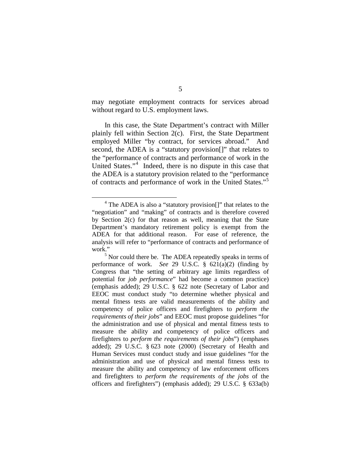may negotiate employment contracts for services abroad without regard to U.S. employment laws.

In this case, the State Department's contract with Miller plainly fell within Section 2(c). First, the State Department employed Miller "by contract, for services abroad." And second, the ADEA is a "statutory provision[]" that relates to the "performance of contracts and performance of work in the United States."<sup>[4](#page-40-0)</sup> Indeed, there is no dispute in this case that the ADEA is a statutory provision related to the "performance of contracts and performance of work in the United States."[5](#page-40-1)

<span id="page-40-0"></span><sup>&</sup>lt;sup>4</sup> The ADEA is also a "statutory provision<sup>[]"</sup> that relates to the "negotiation" and "making" of contracts and is therefore covered by Section 2(c) for that reason as well, meaning that the State Department's mandatory retirement policy is exempt from the ADEA for that additional reason. For ease of reference, the analysis will refer to "performance of contracts and performance of work."

<span id="page-40-1"></span> $<sup>5</sup>$  Nor could there be. The ADEA repeatedly speaks in terms of</sup> performance of work. *See* 29 U.S.C. § 621(a)(2) (finding by Congress that "the setting of arbitrary age limits regardless of potential for *job performance*" had become a common practice) (emphasis added); 29 U.S.C. § 622 note (Secretary of Labor and EEOC must conduct study "to determine whether physical and mental fitness tests are valid measurements of the ability and competency of police officers and firefighters to *perform the requirements of their jobs*" and EEOC must propose guidelines "for the administration and use of physical and mental fitness tests to measure the ability and competency of police officers and firefighters to *perform the requirements of their jobs*") (emphases added); 29 U.S.C. § 623 note (2000) (Secretary of Health and Human Services must conduct study and issue guidelines "for the administration and use of physical and mental fitness tests to measure the ability and competency of law enforcement officers and firefighters to *perform the requirements of the jobs* of the officers and firefighters") (emphasis added); 29 U.S.C. § 633a(b)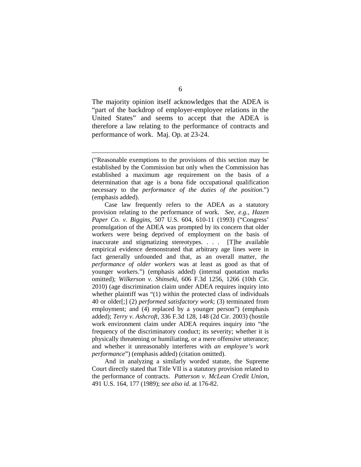The majority opinion itself acknowledges that the ADEA is "part of the backdrop of employer-employee relations in the United States" and seems to accept that the ADEA is therefore a law relating to the performance of contracts and performance of work. Maj. Op. at 23-24.

 $\overline{a}$ 

And in analyzing a similarly worded statute, the Supreme Court directly stated that Title VII is a statutory provision related to the performance of contracts. *Patterson v. McLean Credit Union*, 491 U.S. 164, 177 (1989); *see also id.* at 176-82.

<sup>(&</sup>quot;Reasonable exemptions to the provisions of this section may be established by the Commission but only when the Commission has established a maximum age requirement on the basis of a determination that age is a bona fide occupational qualification necessary to the *performance of the duties of the position*.") (emphasis added).

Case law frequently refers to the ADEA as a statutory provision relating to the performance of work. *See, e.g.*, *Hazen Paper Co. v. Biggins*, 507 U.S. 604, 610-11 (1993) ("Congress' promulgation of the ADEA was prompted by its concern that older workers were being deprived of employment on the basis of inaccurate and stigmatizing stereotypes. . . . [T]he available empirical evidence demonstrated that arbitrary age lines were in fact generally unfounded and that, as an overall matter, *the performance of older workers* was at least as good as that of younger workers.") (emphasis added) (internal quotation marks omitted); *Wilkerson v. Shinseki*, 606 F.3d 1256, 1266 (10th Cir. 2010) (age discrimination claim under ADEA requires inquiry into whether plaintiff was "(1) within the protected class of individuals 40 or older[;] (2) *performed satisfactory work*; (3) terminated from employment; and (4) replaced by a younger person") (emphasis added); *Terry v. Ashcroft*, 336 F.3d 128, 148 (2d Cir. 2003) (hostile work environment claim under ADEA requires inquiry into "the frequency of the discriminatory conduct; its severity; whether it is physically threatening or humiliating, or a mere offensive utterance; and whether it unreasonably interferes with *an employee's work performance*") (emphasis added) (citation omitted).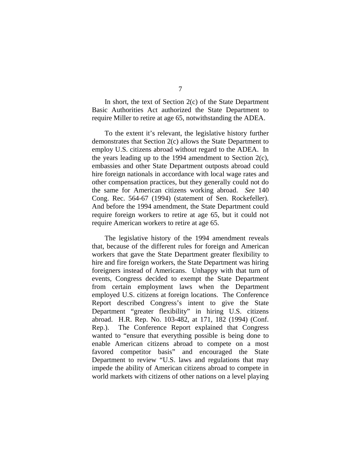In short, the text of Section  $2(c)$  of the State Department Basic Authorities Act authorized the State Department to require Miller to retire at age 65, notwithstanding the ADEA.

To the extent it's relevant, the legislative history further demonstrates that Section 2(c) allows the State Department to employ U.S. citizens abroad without regard to the ADEA. In the years leading up to the 1994 amendment to Section 2(c), embassies and other State Department outposts abroad could hire foreign nationals in accordance with local wage rates and other compensation practices, but they generally could not do the same for American citizens working abroad. *See* 140 Cong. Rec. 564-67 (1994) (statement of Sen. Rockefeller). And before the 1994 amendment, the State Department could require foreign workers to retire at age 65, but it could not require American workers to retire at age 65.

The legislative history of the 1994 amendment reveals that, because of the different rules for foreign and American workers that gave the State Department greater flexibility to hire and fire foreign workers, the State Department was hiring foreigners instead of Americans. Unhappy with that turn of events, Congress decided to exempt the State Department from certain employment laws when the Department employed U.S. citizens at foreign locations. The Conference Report described Congress's intent to give the State Department "greater flexibility" in hiring U.S. citizens abroad. H.R. Rep. No. 103-482, at 171, 182 (1994) (Conf. Rep.). The Conference Report explained that Congress wanted to "ensure that everything possible is being done to enable American citizens abroad to compete on a most favored competitor basis" and encouraged the State Department to review "U.S. laws and regulations that may impede the ability of American citizens abroad to compete in world markets with citizens of other nations on a level playing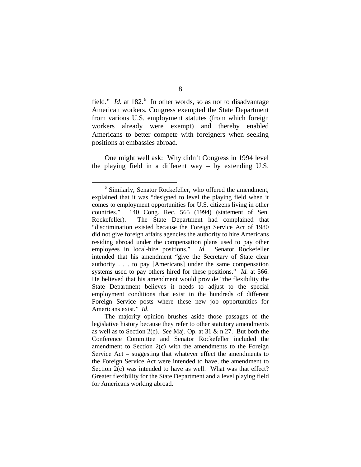field." *Id.* at 182.<sup>[6](#page-43-0)</sup> In other words, so as not to disadvantage American workers, Congress exempted the State Department from various U.S. employment statutes (from which foreign workers already were exempt) and thereby enabled Americans to better compete with foreigners when seeking positions at embassies abroad.

One might well ask: Why didn't Congress in 1994 level the playing field in a different way – by extending U.S.

<span id="page-43-0"></span> <sup>6</sup> Similarly, Senator Rockefeller, who offered the amendment, explained that it was "designed to level the playing field when it comes to employment opportunities for U.S. citizens living in other countries." 140 Cong. Rec. 565 (1994) (statement of Sen. Rockefeller). The State Department had complained that "discrimination existed because the Foreign Service Act of 1980 did not give foreign affairs agencies the authority to hire Americans residing abroad under the compensation plans used to pay other employees in local-hire positions." *Id.* Senator Rockefeller intended that his amendment "give the Secretary of State clear authority . . . to pay [Americans] under the same compensation systems used to pay others hired for these positions." *Id.* at 566. He believed that his amendment would provide "the flexibility the State Department believes it needs to adjust to the special employment conditions that exist in the hundreds of different Foreign Service posts where these new job opportunities for Americans exist." *Id*.

The majority opinion brushes aside those passages of the legislative history because they refer to other statutory amendments as well as to Section 2(c). *See* Maj. Op. at 31 & n.27. But both the Conference Committee and Senator Rockefeller included the amendment to Section 2(c) with the amendments to the Foreign Service Act – suggesting that whatever effect the amendments to the Foreign Service Act were intended to have, the amendment to Section 2(c) was intended to have as well. What was that effect? Greater flexibility for the State Department and a level playing field for Americans working abroad.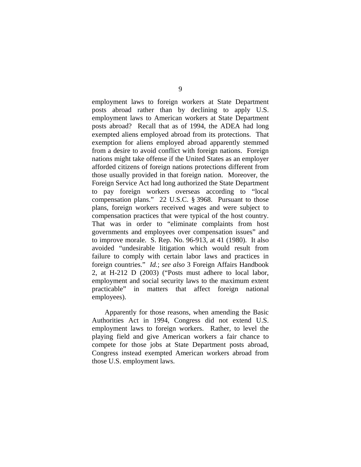employment laws to foreign workers at State Department posts abroad rather than by declining to apply U.S. employment laws to American workers at State Department posts abroad? Recall that as of 1994, the ADEA had long exempted aliens employed abroad from its protections. That exemption for aliens employed abroad apparently stemmed from a desire to avoid conflict with foreign nations. Foreign nations might take offense if the United States as an employer afforded citizens of foreign nations protections different from those usually provided in that foreign nation. Moreover, the Foreign Service Act had long authorized the State Department to pay foreign workers overseas according to "local compensation plans." 22 U.S.C. § 3968. Pursuant to those plans, foreign workers received wages and were subject to compensation practices that were typical of the host country. That was in order to "eliminate complaints from host governments and employees over compensation issues" and to improve morale. S. Rep. No. 96-913, at 41 (1980). It also avoided "undesirable litigation which would result from failure to comply with certain labor laws and practices in foreign countries." *Id.*; *see also* 3 Foreign Affairs Handbook 2, at H-212 D (2003) ("Posts must adhere to local labor, employment and social security laws to the maximum extent practicable" in matters that affect foreign national employees).

Apparently for those reasons, when amending the Basic Authorities Act in 1994, Congress did not extend U.S. employment laws to foreign workers. Rather, to level the playing field and give American workers a fair chance to compete for those jobs at State Department posts abroad, Congress instead exempted American workers abroad from those U.S. employment laws.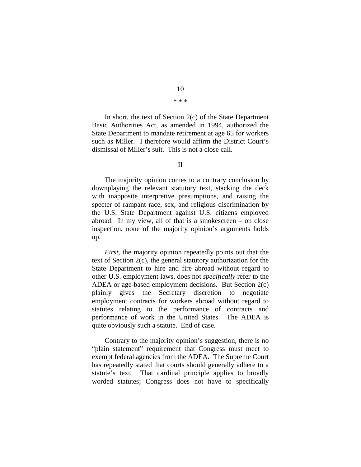In short, the text of Section 2(c) of the State Department Basic Authorities Act, as amended in 1994, authorized the State Department to mandate retirement at age 65 for workers such as Miller. I therefore would affirm the District Court's dismissal of Miller's suit. This is not a close call.

The majority opinion comes to a contrary conclusion by downplaying the relevant statutory text, stacking the deck with inapposite interpretive presumptions, and raising the specter of rampant race, sex, and religious discrimination by the U.S. State Department against U.S. citizens employed abroad. In my view, all of that is a smokescreen – on close inspection, none of the majority opinion's arguments holds up.

*First*, the majority opinion repeatedly points out that the text of Section 2(c), the general statutory authorization for the State Department to hire and fire abroad without regard to other U.S. employment laws, does not *specifically* refer to the ADEA or age-based employment decisions. But Section 2(c) plainly gives the Secretary discretion to negotiate employment contracts for workers abroad without regard to statutes relating to the performance of contracts and performance of work in the United States. The ADEA is quite obviously such a statute. End of case.

Contrary to the majority opinion's suggestion, there is no "plain statement" requirement that Congress must meet to exempt federal agencies from the ADEA. The Supreme Court has repeatedly stated that courts should generally adhere to a statute's text. That cardinal principle applies to broadly worded statutes; Congress does not have to specifically

10 \* \* \*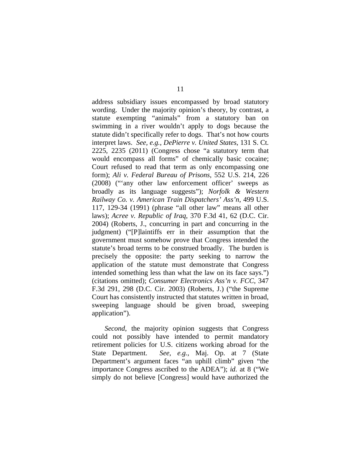address subsidiary issues encompassed by broad statutory wording. Under the majority opinion's theory, by contrast, a statute exempting "animals" from a statutory ban on swimming in a river wouldn't apply to dogs because the statute didn't specifically refer to dogs. That's not how courts interpret laws. *See, e.g.*, *DePierre v. United States*, 131 S. Ct. 2225, 2235 (2011) (Congress chose "a statutory term that would encompass all forms" of chemically basic cocaine; Court refused to read that term as only encompassing one form); *Ali v. Federal Bureau of Prisons*, 552 U.S. 214, 226 (2008) ("'any other law enforcement officer' sweeps as broadly as its language suggests"); *Norfolk & Western Railway Co. v. American Train Dispatchers' Ass'n*, 499 U.S. 117, 129-34 (1991) (phrase "all other law" means all other laws); *Acree v. Republic of Iraq*, 370 F.3d 41, 62 (D.C. Cir. 2004) (Roberts, J., concurring in part and concurring in the judgment) ("[P]laintiffs err in their assumption that the government must somehow prove that Congress intended the statute's broad terms to be construed broadly. The burden is precisely the opposite: the party seeking to narrow the application of the statute must demonstrate that Congress intended something less than what the law on its face says.") (citations omitted); *Consumer Electronics Ass'n v. FCC*, 347 F.3d 291, 298 (D.C. Cir. 2003) (Roberts, J.) ("the Supreme Court has consistently instructed that statutes written in broad, sweeping language should be given broad, sweeping application").

*Second*, the majority opinion suggests that Congress could not possibly have intended to permit mandatory retirement policies for U.S. citizens working abroad for the State Department. *See, e.g.*, Maj. Op. at 7 (State Department's argument faces "an uphill climb" given "the importance Congress ascribed to the ADEA"); *id.* at 8 ("We simply do not believe [Congress] would have authorized the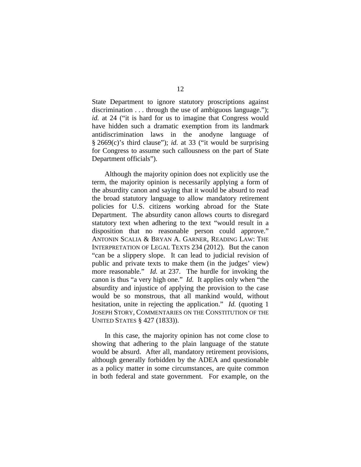State Department to ignore statutory proscriptions against discrimination . . . through the use of ambiguous language."); *id.* at 24 ("it is hard for us to imagine that Congress would have hidden such a dramatic exemption from its landmark antidiscrimination laws in the anodyne language of § 2669(c)'s third clause"); *id.* at 33 ("it would be surprising for Congress to assume such callousness on the part of State Department officials").

Although the majority opinion does not explicitly use the term, the majority opinion is necessarily applying a form of the absurdity canon and saying that it would be absurd to read the broad statutory language to allow mandatory retirement policies for U.S. citizens working abroad for the State Department. The absurdity canon allows courts to disregard statutory text when adhering to the text "would result in a disposition that no reasonable person could approve." ANTONIN SCALIA & BRYAN A. GARNER, READING LAW: THE INTERPRETATION OF LEGAL TEXTS 234 (2012). But the canon "can be a slippery slope. It can lead to judicial revision of public and private texts to make them (in the judges' view) more reasonable." *Id.* at 237. The hurdle for invoking the canon is thus "a very high one." *Id.* It applies only when "the absurdity and injustice of applying the provision to the case would be so monstrous, that all mankind would, without hesitation, unite in rejecting the application." *Id.* (quoting 1 JOSEPH STORY, COMMENTARIES ON THE CONSTITUTION OF THE UNITED STATES § 427 (1833)).

In this case, the majority opinion has not come close to showing that adhering to the plain language of the statute would be absurd. After all, mandatory retirement provisions, although generally forbidden by the ADEA and questionable as a policy matter in some circumstances, are quite common in both federal and state government. For example, on the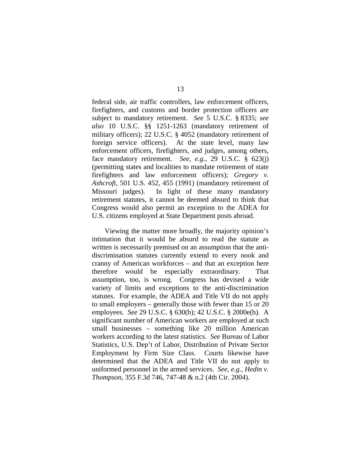federal side, air traffic controllers, law enforcement officers, firefighters, and customs and border protection officers are subject to mandatory retirement. *See* 5 U.S.C. § 8335; *see also* 10 U.S.C. §§ 1251-1263 (mandatory retirement of military officers); 22 U.S.C. § 4052 (mandatory retirement of foreign service officers). At the state level, many law enforcement officers, firefighters, and judges, among others, face mandatory retirement. *See, e.g.*, 29 U.S.C. § 623(j) (permitting states and localities to mandate retirement of state firefighters and law enforcement officers); *Gregory v. Ashcroft*, 501 U.S. 452, 455 (1991) (mandatory retirement of Missouri judges). In light of these many mandatory retirement statutes, it cannot be deemed absurd to think that Congress would also permit an exception to the ADEA for U.S. citizens employed at State Department posts abroad.

Viewing the matter more broadly, the majority opinion's intimation that it would be absurd to read the statute as written is necessarily premised on an assumption that the antidiscrimination statutes currently extend to every nook and cranny of American workforces – and that an exception here therefore would be especially extraordinary. That assumption, too, is wrong. Congress has devised a wide variety of limits and exceptions to the anti-discrimination statutes. For example, the ADEA and Title VII do not apply to small employers – generally those with fewer than 15 or 20 employees. *See* 29 U.S.C. § 630(b); 42 U.S.C. § 2000e(b). A significant number of American workers are employed at such small businesses – something like 20 million American workers according to the latest statistics. *See* Bureau of Labor Statistics, U.S. Dep't of Labor, Distribution of Private Sector Employment by Firm Size Class. Courts likewise have determined that the ADEA and Title VII do not apply to uniformed personnel in the armed services. *See, e.g.*, *Hedin v. Thompson*, 355 F.3d 746, 747-48 & n.2 (4th Cir. 2004).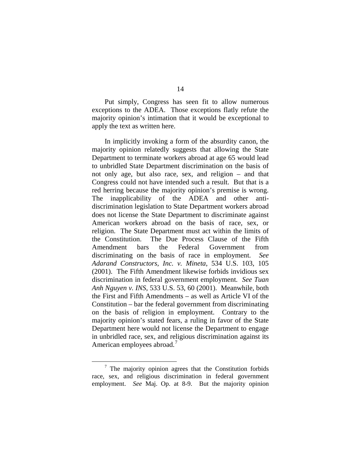Put simply, Congress has seen fit to allow numerous exceptions to the ADEA. Those exceptions flatly refute the majority opinion's intimation that it would be exceptional to apply the text as written here.

In implicitly invoking a form of the absurdity canon, the majority opinion relatedly suggests that allowing the State Department to terminate workers abroad at age 65 would lead to unbridled State Department discrimination on the basis of not only age, but also race, sex, and religion – and that Congress could not have intended such a result. But that is a red herring because the majority opinion's premise is wrong. The inapplicability of the ADEA and other antidiscrimination legislation to State Department workers abroad does not license the State Department to discriminate against American workers abroad on the basis of race, sex, or religion. The State Department must act within the limits of the Constitution. The Due Process Clause of the Fifth Amendment bars the Federal Government from discriminating on the basis of race in employment. *See Adarand Constructors, Inc. v. Mineta*, 534 U.S. 103, 105 (2001). The Fifth Amendment likewise forbids invidious sex discrimination in federal government employment. *See Tuan Anh Nguyen v. INS*, 533 U.S. 53, 60 (2001). Meanwhile, both the First and Fifth Amendments – as well as Article VI of the Constitution – bar the federal government from discriminating on the basis of religion in employment. Contrary to the majority opinion's stated fears, a ruling in favor of the State Department here would not license the Department to engage in unbridled race, sex, and religious discrimination against its American employees abroad.<sup>[7](#page-49-0)</sup>

<span id="page-49-0"></span> <sup>7</sup> The majority opinion agrees that the Constitution forbids race, sex, and religious discrimination in federal government employment. *See* Maj. Op. at 8-9. But the majority opinion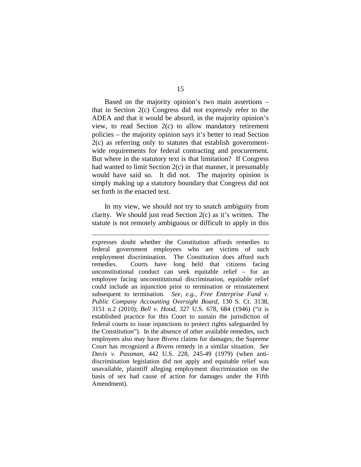Based on the majority opinion's two main assertions – that in Section 2(c) Congress did not expressly refer to the ADEA and that it would be absurd, in the majority opinion's view, to read Section 2(c) to allow mandatory retirement policies – the majority opinion says it's better to read Section 2(c) as referring only to statutes that establish governmentwide requirements for federal contracting and procurement. But where in the statutory text is that limitation? If Congress had wanted to limit Section 2(c) in that manner, it presumably would have said so. It did not. The majority opinion is simply making up a statutory boundary that Congress did not set forth in the enacted text.

In my view, we should not try to snatch ambiguity from clarity. We should just read Section 2(c) as it's written. The statute is not remotely ambiguous or difficult to apply in this

 $\overline{a}$ 

expresses doubt whether the Constitution affords remedies to federal government employees who are victims of such employment discrimination. The Constitution does afford such remedies. Courts have long held that citizens facing unconstitutional conduct can seek equitable relief – for an employee facing unconstitutional discrimination, equitable relief could include an injunction prior to termination or reinstatement subsequent to termination. *See, e.g.*, *Free Enterprise Fund v. Public Company Accounting Oversight Board*, 130 S. Ct. 3138, 3151 n.2 (2010); *Bell v. Hood*, 327 U.S. 678, 684 (1946) ("it is established practice for this Court to sustain the jurisdiction of federal courts to issue injunctions to protect rights safeguarded by the Constitution"). In the absence of other available remedies, such employees also may have *Bivens* claims for damages; the Supreme Court has recognized a *Bivens* remedy in a similar situation. *See Davis v. Passman*, 442 U.S. 228, 245-49 (1979) (when antidiscrimination legislation did not apply and equitable relief was unavailable, plaintiff alleging employment discrimination on the basis of sex had cause of action for damages under the Fifth Amendment).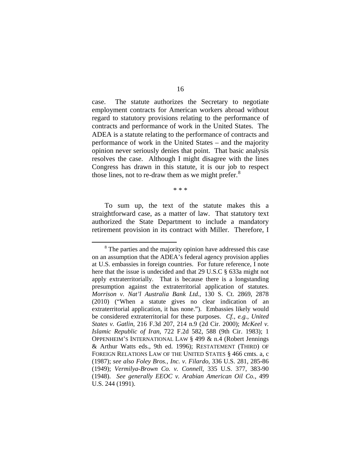case. The statute authorizes the Secretary to negotiate employment contracts for American workers abroad without regard to statutory provisions relating to the performance of contracts and performance of work in the United States. The ADEA is a statute relating to the performance of contracts and performance of work in the United States – and the majority opinion never seriously denies that point. That basic analysis resolves the case. Although I might disagree with the lines Congress has drawn in this statute, it is our job to respect those lines, not to re-draw them as we might prefer.<sup>[8](#page-51-0)</sup>

\* \* \*

To sum up, the text of the statute makes this a straightforward case, as a matter of law. That statutory text authorized the State Department to include a mandatory retirement provision in its contract with Miller. Therefore, I

<span id="page-51-0"></span><sup>&</sup>lt;sup>8</sup> The parties and the majority opinion have addressed this case on an assumption that the ADEA's federal agency provision applies at U.S. embassies in foreign countries. For future reference, I note here that the issue is undecided and that 29 U.S.C § 633a might not apply extraterritorially. That is because there is a longstanding presumption against the extraterritorial application of statutes. *Morrison v. Nat'l Australia Bank Ltd.*, 130 S. Ct. 2869, 2878 (2010) ("When a statute gives no clear indication of an extraterritorial application, it has none."). Embassies likely would be considered extraterritorial for these purposes. *Cf., e.g.*, *United States v. Gatlin*, 216 F.3d 207, 214 n.9 (2d Cir. 2000); *McKeel v. Islamic Republic of Iran*, 722 F.2d 582, 588 (9th Cir. 1983); 1 OPPENHEIM'S INTERNATIONAL LAW § 499 & n.4 (Robert Jennings & Arthur Watts eds., 9th ed. 1996); RESTATEMENT (THIRD) OF FOREIGN RELATIONS LAW OF THE UNITED STATES § 466 cmts. a, c (1987); *see also Foley Bros., Inc. v. Filardo*, 336 U.S. 281, 285-86 (1949); *Vermilya-Brown Co. v. Connell*, 335 U.S. 377, 383-90 (1948). *See generally EEOC v. Arabian American Oil Co.*, 499 U.S. 244 (1991).